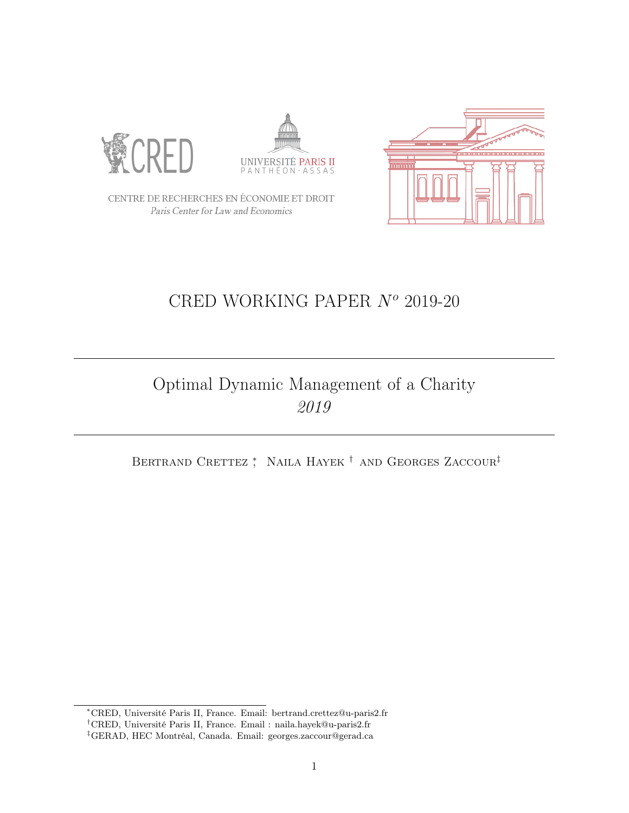





CENTRE DE RECHERCHES EN ÉCONOMIE ET DROIT Paris Center for Law and Economics

# CRED WORKING PAPER  $N<sup>o</sup>$  2019-20

## Optimal Dynamic Management of a Charity 2019

BERTRAND CRETTEZ <sup>\*</sup> NAILA HAYEK<sup>†</sup> AND GEORGES ZACCOUR<sup>‡</sup>

<sup>∗</sup>CRED, Université Paris II, France. Email: bertrand.crettez@u-paris2.fr

<sup>†</sup>CRED, Université Paris II, France. Email : naila.hayek@u-paris2.fr

<sup>‡</sup>GERAD, HEC Montréal, Canada. Email: georges.zaccour@gerad.ca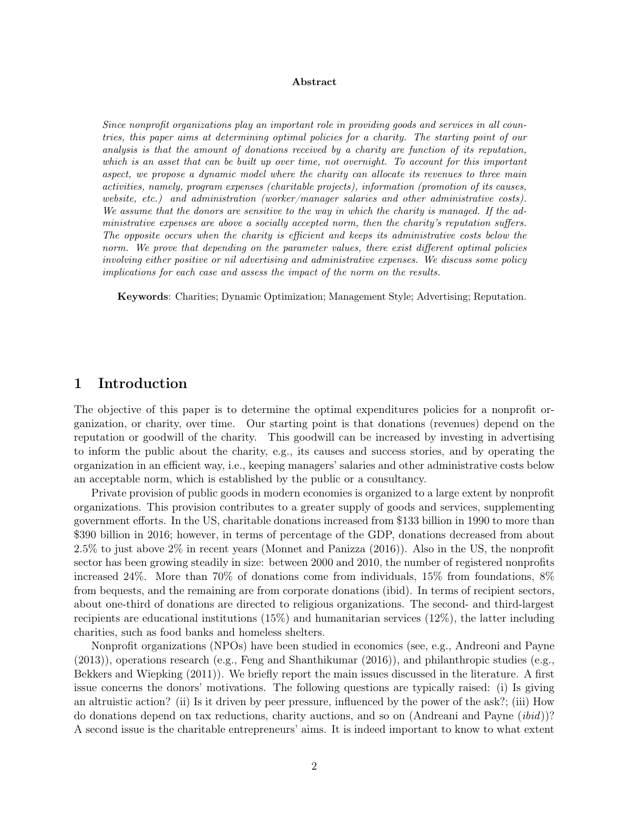#### Abstract

Since nonprofit organizations play an important role in providing goods and services in all countries, this paper aims at determining optimal policies for a charity. The starting point of our analysis is that the amount of donations received by a charity are function of its reputation, which is an asset that can be built up over time, not overnight. To account for this important aspect, we propose a dynamic model where the charity can allocate its revenues to three main activities, namely, program expenses (charitable projects), information (promotion of its causes, website, etc.) and administration (worker/manager salaries and other administrative costs). We assume that the donors are sensitive to the way in which the charity is managed. If the administrative expenses are above a socially accepted norm, then the charity's reputation suffers. The opposite occurs when the charity is efficient and keeps its administrative costs below the norm. We prove that depending on the parameter values, there exist different optimal policies involving either positive or nil advertising and administrative expenses. We discuss some policy implications for each case and assess the impact of the norm on the results.

Keywords: Charities; Dynamic Optimization; Management Style; Advertising; Reputation.

## 1 Introduction

The objective of this paper is to determine the optimal expenditures policies for a nonprofit organization, or charity, over time. Our starting point is that donations (revenues) depend on the reputation or goodwill of the charity. This goodwill can be increased by investing in advertising to inform the public about the charity, e.g., its causes and success stories, and by operating the organization in an efficient way, i.e., keeping managers' salaries and other administrative costs below an acceptable norm, which is established by the public or a consultancy.

Private provision of public goods in modern economies is organized to a large extent by nonprofit organizations. This provision contributes to a greater supply of goods and services, supplementing government efforts. In the US, charitable donations increased from \$133 billion in 1990 to more than \$390 billion in 2016; however, in terms of percentage of the GDP, donations decreased from about 2.5% to just above 2% in recent years (Monnet and Panizza (2016)). Also in the US, the nonprofit sector has been growing steadily in size: between 2000 and 2010, the number of registered nonprofits increased 24%. More than 70% of donations come from individuals, 15% from foundations, 8% from bequests, and the remaining are from corporate donations (ibid). In terms of recipient sectors, about one-third of donations are directed to religious organizations. The second- and third-largest recipients are educational institutions (15%) and humanitarian services (12%), the latter including charities, such as food banks and homeless shelters.

Nonprofit organizations (NPOs) have been studied in economics (see, e.g., Andreoni and Payne (2013)), operations research (e.g., Feng and Shanthikumar (2016)), and philanthropic studies (e.g., Bekkers and Wiepking (2011)). We briefly report the main issues discussed in the literature. A first issue concerns the donors' motivations. The following questions are typically raised: (i) Is giving an altruistic action? (ii) Is it driven by peer pressure, influenced by the power of the ask?; (iii) How do donations depend on tax reductions, charity auctions, and so on (Andreani and Payne (ibid))? A second issue is the charitable entrepreneurs' aims. It is indeed important to know to what extent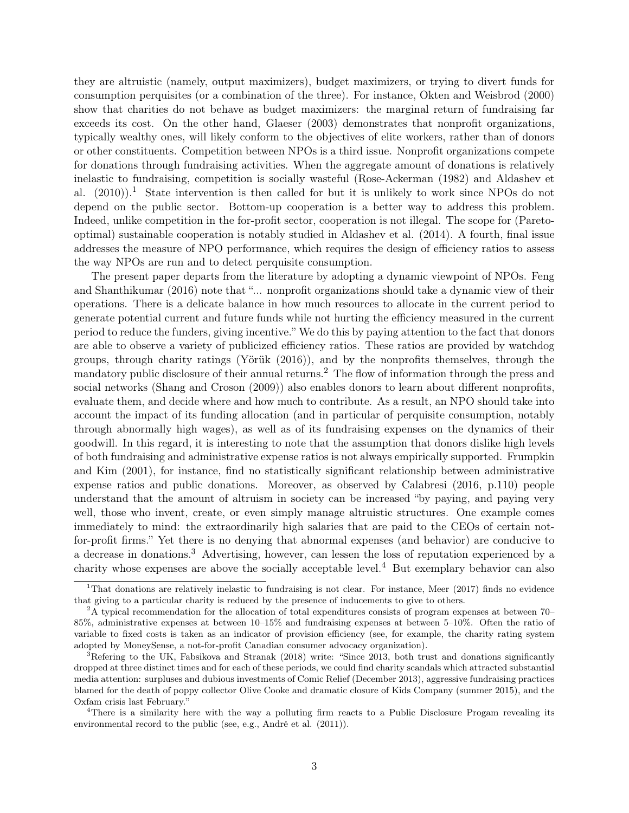they are altruistic (namely, output maximizers), budget maximizers, or trying to divert funds for consumption perquisites (or a combination of the three). For instance, Okten and Weisbrod (2000) show that charities do not behave as budget maximizers: the marginal return of fundraising far exceeds its cost. On the other hand, Glaeser (2003) demonstrates that nonprofit organizations, typically wealthy ones, will likely conform to the objectives of elite workers, rather than of donors or other constituents. Competition between NPOs is a third issue. Nonprofit organizations compete for donations through fundraising activities. When the aggregate amount of donations is relatively inelastic to fundraising, competition is socially wasteful (Rose-Ackerman (1982) and Aldashev et al.  $(2010)$  $(2010)$  $(2010)$ .<sup>1</sup> State intervention is then called for but it is unlikely to work since NPOs do not depend on the public sector. Bottom-up cooperation is a better way to address this problem. Indeed, unlike competition in the for-profit sector, cooperation is not illegal. The scope for (Paretooptimal) sustainable cooperation is notably studied in Aldashev et al. (2014). A fourth, final issue addresses the measure of NPO performance, which requires the design of efficiency ratios to assess the way NPOs are run and to detect perquisite consumption.

The present paper departs from the literature by adopting a dynamic viewpoint of NPOs. Feng and Shanthikumar (2016) note that "... nonprofit organizations should take a dynamic view of their operations. There is a delicate balance in how much resources to allocate in the current period to generate potential current and future funds while not hurting the efficiency measured in the current period to reduce the funders, giving incentive." We do this by paying attention to the fact that donors are able to observe a variety of publicized efficiency ratios. These ratios are provided by watchdog groups, through charity ratings (Yörük (2016)), and by the nonprofits themselves, through the mandatory public disclosure of their annual returns.<sup>[2](#page-2-1)</sup> The flow of information through the press and social networks (Shang and Croson (2009)) also enables donors to learn about different nonprofits, evaluate them, and decide where and how much to contribute. As a result, an NPO should take into account the impact of its funding allocation (and in particular of perquisite consumption, notably through abnormally high wages), as well as of its fundraising expenses on the dynamics of their goodwill. In this regard, it is interesting to note that the assumption that donors dislike high levels of both fundraising and administrative expense ratios is not always empirically supported. Frumpkin and Kim (2001), for instance, find no statistically significant relationship between administrative expense ratios and public donations. Moreover, as observed by Calabresi (2016, p.110) people understand that the amount of altruism in society can be increased "by paying, and paying very well, those who invent, create, or even simply manage altruistic structures. One example comes immediately to mind: the extraordinarily high salaries that are paid to the CEOs of certain notfor-profit firms." Yet there is no denying that abnormal expenses (and behavior) are conducive to a decrease in donations.<sup>[3](#page-2-2)</sup> Advertising, however, can lessen the loss of reputation experienced by a charity whose expenses are above the socially acceptable level.<sup>[4](#page-2-3)</sup> But exemplary behavior can also

<span id="page-2-0"></span><sup>1</sup>That donations are relatively inelastic to fundraising is not clear. For instance, Meer (2017) finds no evidence that giving to a particular charity is reduced by the presence of inducements to give to others.

<span id="page-2-1"></span><sup>&</sup>lt;sup>2</sup>A typical recommendation for the allocation of total expenditures consists of program expenses at between 70– 85%, administrative expenses at between 10–15% and fundraising expenses at between 5–10%. Often the ratio of variable to fixed costs is taken as an indicator of provision efficiency (see, for example, the charity rating system adopted by MoneySense, a not-for-profit Canadian consumer advocacy organization).

<span id="page-2-2"></span><sup>&</sup>lt;sup>3</sup>Refering to the UK, Fabsikova and Stranak (2018) write: "Since 2013, both trust and donations significantly dropped at three distinct times and for each of these periods, we could find charity scandals which attracted substantial media attention: surpluses and dubious investments of Comic Relief (December 2013), aggressive fundraising practices blamed for the death of poppy collector Olive Cooke and dramatic closure of Kids Company (summer 2015), and the Oxfam crisis last February."

<span id="page-2-3"></span><sup>&</sup>lt;sup>4</sup>There is a similarity here with the way a polluting firm reacts to a Public Disclosure Progam revealing its environmental record to the public (see, e.g., André et al. (2011)).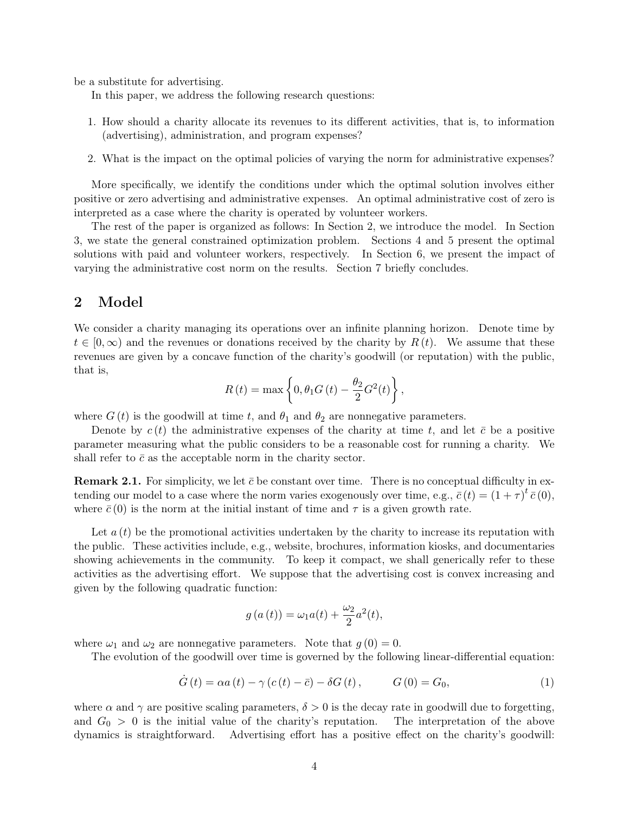be a substitute for advertising.

In this paper, we address the following research questions:

- 1. How should a charity allocate its revenues to its different activities, that is, to information (advertising), administration, and program expenses?
- 2. What is the impact on the optimal policies of varying the norm for administrative expenses?

More specifically, we identify the conditions under which the optimal solution involves either positive or zero advertising and administrative expenses. An optimal administrative cost of zero is interpreted as a case where the charity is operated by volunteer workers.

The rest of the paper is organized as follows: In Section 2, we introduce the model. In Section 3, we state the general constrained optimization problem. Sections 4 and 5 present the optimal solutions with paid and volunteer workers, respectively. In Section 6, we present the impact of varying the administrative cost norm on the results. Section 7 briefly concludes.

## 2 Model

We consider a charity managing its operations over an infinite planning horizon. Denote time by  $t \in [0,\infty)$  and the revenues or donations received by the charity by  $R(t)$ . We assume that these revenues are given by a concave function of the charity's goodwill (or reputation) with the public, that is,

$$
R(t) = \max \left\{ 0, \theta_1 G(t) - \frac{\theta_2}{2} G^2(t) \right\},\,
$$

where  $G(t)$  is the goodwill at time t, and  $\theta_1$  and  $\theta_2$  are nonnegative parameters.

Denote by  $c(t)$  the administrative expenses of the charity at time t, and let  $\bar{c}$  be a positive parameter measuring what the public considers to be a reasonable cost for running a charity. We shall refer to  $\bar{c}$  as the acceptable norm in the charity sector.

**Remark 2.1.** For simplicity, we let  $\bar{c}$  be constant over time. There is no conceptual difficulty in extending our model to a case where the norm varies exogenously over time, e.g.,  $\bar{c}(t) = (1 + \tau)^t \bar{c}(0)$ , where  $\bar{c}(0)$  is the norm at the initial instant of time and  $\tau$  is a given growth rate.

Let  $a(t)$  be the promotional activities undertaken by the charity to increase its reputation with the public. These activities include, e.g., website, brochures, information kiosks, and documentaries showing achievements in the community. To keep it compact, we shall generically refer to these activities as the advertising effort. We suppose that the advertising cost is convex increasing and given by the following quadratic function:

$$
g(a(t)) = \omega_1 a(t) + \frac{\omega_2}{2} a^2(t),
$$

where  $\omega_1$  and  $\omega_2$  are nonnegative parameters. Note that  $g(0) = 0$ .

The evolution of the goodwill over time is governed by the following linear-differential equation:

<span id="page-3-0"></span>
$$
\dot{G}(t) = \alpha a(t) - \gamma (c(t) - \bar{c}) - \delta G(t), \qquad G(0) = G_0,
$$
\n(1)

where  $\alpha$  and  $\gamma$  are positive scaling parameters,  $\delta > 0$  is the decay rate in goodwill due to forgetting, and  $G_0 > 0$  is the initial value of the charity's reputation. The interpretation of the above dynamics is straightforward. Advertising effort has a positive effect on the charity's goodwill: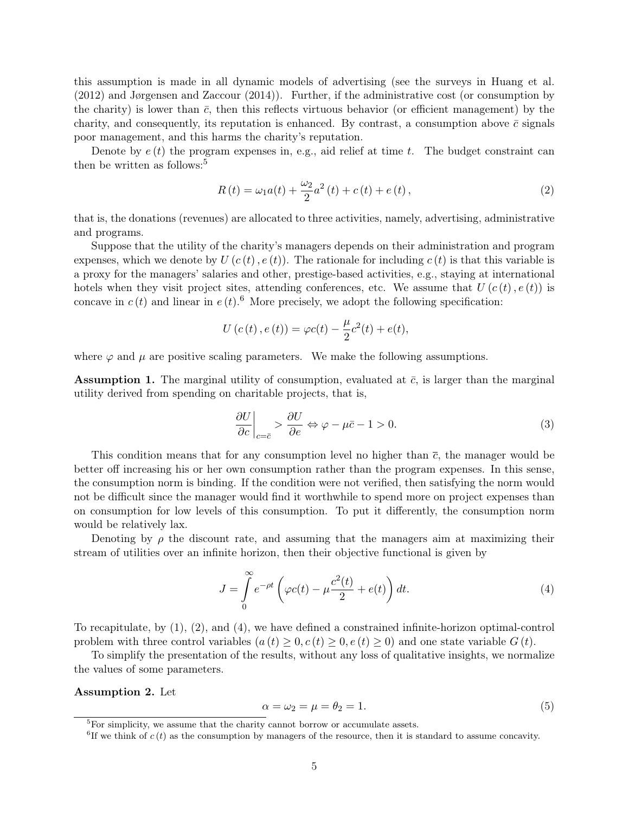this assumption is made in all dynamic models of advertising (see the surveys in Huang et al. (2012) and Jørgensen and Zaccour (2014)). Further, if the administrative cost (or consumption by the charity) is lower than  $\bar{c}$ , then this reflects virtuous behavior (or efficient management) by the charity, and consequently, its reputation is enhanced. By contrast, a consumption above  $\bar{c}$  signals poor management, and this harms the charity's reputation.

Denote by  $e(t)$  the program expenses in, e.g., aid relief at time t. The budget constraint can then be written as follows: $5$ 

<span id="page-4-2"></span>
$$
R(t) = \omega_1 a(t) + \frac{\omega_2}{2} a^2(t) + c(t) + e(t),
$$
\n(2)

that is, the donations (revenues) are allocated to three activities, namely, advertising, administrative and programs.

Suppose that the utility of the charity's managers depends on their administration and program expenses, which we denote by  $U(c(t), e(t))$ . The rationale for including  $c(t)$  is that this variable is a proxy for the managers' salaries and other, prestige-based activities, e.g., staying at international hotels when they visit project sites, attending conferences, etc. We assume that  $U(c(t), e(t))$  is concave in  $c(t)$  and linear in  $e(t)$ .<sup>[6](#page-4-1)</sup> More precisely, we adopt the following specification:

$$
U(c(t), e(t)) = \varphi c(t) - \frac{\mu}{2}c^{2}(t) + e(t),
$$

where  $\varphi$  and  $\mu$  are positive scaling parameters. We make the following assumptions.

<span id="page-4-4"></span>**Assumption 1.** The marginal utility of consumption, evaluated at  $\bar{c}$ , is larger than the marginal utility derived from spending on charitable projects, that is,

$$
\left. \frac{\partial U}{\partial c} \right|_{c=\bar{c}} > \frac{\partial U}{\partial e} \Leftrightarrow \varphi - \mu \bar{c} - 1 > 0. \tag{3}
$$

This condition means that for any consumption level no higher than  $\bar{c}$ , the manager would be better off increasing his or her own consumption rather than the program expenses. In this sense, the consumption norm is binding. If the condition were not verified, then satisfying the norm would not be difficult since the manager would find it worthwhile to spend more on project expenses than on consumption for low levels of this consumption. To put it differently, the consumption norm would be relatively lax.

Denoting by  $\rho$  the discount rate, and assuming that the managers aim at maximizing their stream of utilities over an infinite horizon, then their objective functional is given by

<span id="page-4-3"></span>
$$
J = \int_{0}^{\infty} e^{-\rho t} \left( \varphi c(t) - \mu \frac{c^2(t)}{2} + e(t) \right) dt.
$$
 (4)

To recapitulate, by [\(1\)](#page-3-0), [\(2\)](#page-4-2), and [\(4\)](#page-4-3), we have defined a constrained infinite-horizon optimal-control problem with three control variables  $(a(t) > 0, c(t) > 0, e(t) > 0)$  and one state variable  $G(t)$ .

To simplify the presentation of the results, without any loss of qualitative insights, we normalize the values of some parameters.

Assumption 2. Let

$$
\alpha = \omega_2 = \mu = \theta_2 = 1. \tag{5}
$$

<span id="page-4-0"></span> ${}^{5}$ For simplicity, we assume that the charity cannot borrow or accumulate assets.

<span id="page-4-1"></span> ${}^{6}$ If we think of c(t) as the consumption by managers of the resource, then it is standard to assume concavity.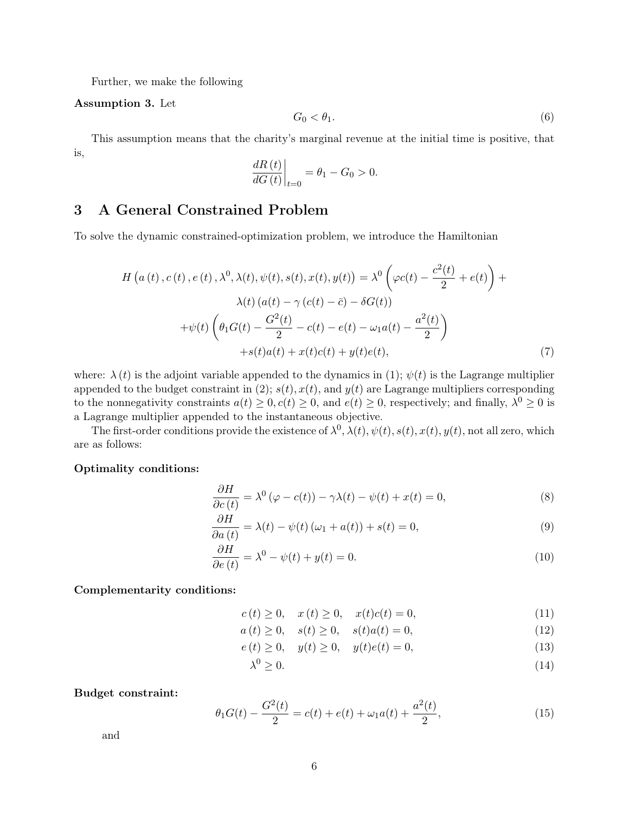Further, we make the following

#### Assumption 3. Let

$$
G_0 < \theta_1. \tag{6}
$$

This assumption means that the charity's marginal revenue at the initial time is positive, that is,

$$
\left. \frac{dR\left(t\right)}{dG\left(t\right)} \right|_{t=0} = \theta_1 - G_0 > 0.
$$

## 3 A General Constrained Problem

To solve the dynamic constrained-optimization problem, we introduce the Hamiltonian

$$
H\left(a\left(t\right),c\left(t\right),e\left(t\right),\lambda^{0},\lambda(t),\psi(t),s(t),x(t),y(t)\right) = \lambda^{0}\left(\varphi c(t) - \frac{c^{2}(t)}{2} + e(t)\right) + \lambda(t)\left(a(t) - \gamma\left(c(t) - \bar{c}\right) - \delta G(t)\right) + \psi(t)\left(\theta_{1}G(t) - \frac{G^{2}(t)}{2} - c(t) - e(t) - \omega_{1}a(t) - \frac{a^{2}(t)}{2}\right) + s(t)a(t) + x(t)c(t) + y(t)e(t),\tag{7}
$$

where:  $\lambda(t)$  is the adjoint variable appended to the dynamics in [\(1\)](#page-3-0);  $\psi(t)$  is the Lagrange multiplier appended to the budget constraint in [\(2\)](#page-4-2);  $s(t)$ ,  $x(t)$ , and  $y(t)$  are Lagrange multipliers corresponding to the nonnegativity constraints  $a(t) \geq 0, c(t) \geq 0$ , and  $e(t) \geq 0$ , respectively; and finally,  $\lambda^0 \geq 0$  is a Lagrange multiplier appended to the instantaneous objective.

The first-order conditions provide the existence of  $\lambda^0$ ,  $\lambda(t)$ ,  $\psi(t)$ ,  $s(t)$ ,  $x(t)$ ,  $y(t)$ , not all zero, which are as follows:

#### Optimality conditions:

$$
\frac{\partial H}{\partial c(t)} = \lambda^0 (\varphi - c(t)) - \gamma \lambda(t) - \psi(t) + x(t) = 0,
$$
\n(8)

$$
\frac{\partial H}{\partial a(t)} = \lambda(t) - \psi(t) \left(\omega_1 + a(t)\right) + s(t) = 0,\tag{9}
$$

$$
\frac{\partial H}{\partial e(t)} = \lambda^0 - \psi(t) + y(t) = 0.
$$
\n(10)

Complementarity conditions:

<span id="page-5-1"></span><span id="page-5-0"></span>
$$
c(t) \ge 0, \quad x(t) \ge 0, \quad x(t)c(t) = 0,
$$
\n(11)

$$
a(t) \ge 0, \quad s(t) \ge 0, \quad s(t)a(t) = 0,
$$
\n(12)

$$
e(t) \ge 0, \quad y(t) \ge 0, \quad y(t)e(t) = 0,
$$
\n(13)

$$
\lambda^0 \ge 0. \tag{14}
$$

#### Budget constraint:

$$
\theta_1 G(t) - \frac{G^2(t)}{2} = c(t) + e(t) + \omega_1 a(t) + \frac{a^2(t)}{2},\tag{15}
$$

and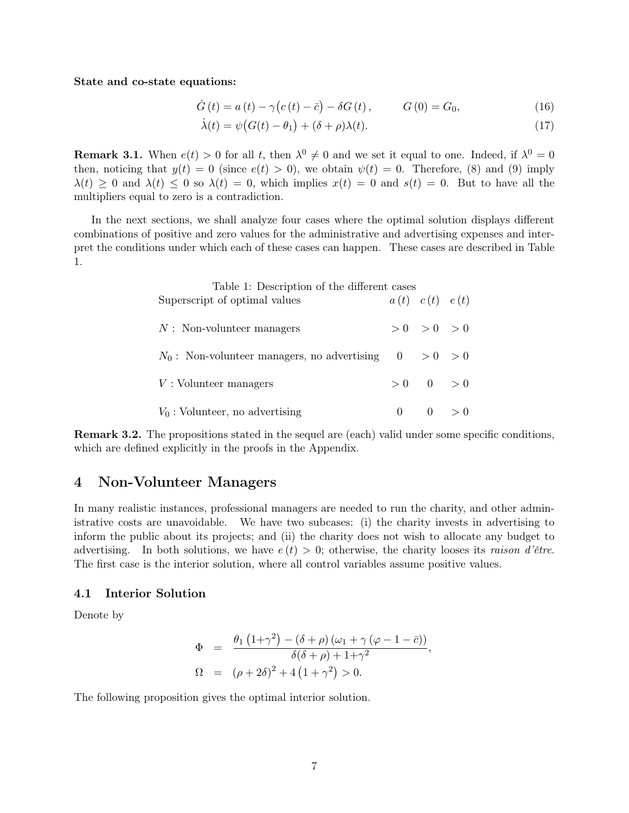State and co-state equations:

$$
\dot{G}(t) = a(t) - \gamma (c(t) - \bar{c}) - \delta G(t), \qquad G(0) = G_0,
$$
\n(16)

$$
\dot{\lambda}(t) = \psi(G(t) - \theta_1) + (\delta + \rho)\lambda(t). \tag{17}
$$

**Remark 3.1.** When  $e(t) > 0$  for all t, then  $\lambda^0 \neq 0$  and we set it equal to one. Indeed, if  $\lambda^0 = 0$ then, noticing that  $y(t) = 0$  (since  $e(t) > 0$ ), we obtain  $\psi(t) = 0$ . Therefore, [\(8\)](#page-5-0) and [\(9\)](#page-5-1) imply  $\lambda(t) \geq 0$  and  $\lambda(t) \leq 0$  so  $\lambda(t) = 0$ , which implies  $x(t) = 0$  and  $s(t) = 0$ . But to have all the multipliers equal to zero is a contradiction.

In the next sections, we shall analyze four cases where the optimal solution displays different combinations of positive and zero values for the administrative and advertising expenses and interpret the conditions under which each of these cases can happen. These cases are described in Table 1.

| Table 1: Description of the different cases<br>Superscript of optimal values | $a(t)$ $c(t)$ $e(t)$   |  |
|------------------------------------------------------------------------------|------------------------|--|
| $N:$ Non-volunteer managers                                                  | > 0 > 0 > 0            |  |
| $N_0$ : Non-volunteer managers, no advertising $0 > 0 > 0$                   |                        |  |
| $V:$ Volunteer managers                                                      | $>0$ 0 $>0$            |  |
| $V_0$ : Volunteer, no advertising                                            | $0 \qquad 0 \qquad >0$ |  |

Remark 3.2. The propositions stated in the sequel are (each) valid under some specific conditions, which are defined explicitly in the proofs in the Appendix.

### 4 Non-Volunteer Managers

In many realistic instances, professional managers are needed to run the charity, and other administrative costs are unavoidable. We have two subcases: (i) the charity invests in advertising to inform the public about its projects; and (ii) the charity does not wish to allocate any budget to advertising. In both solutions, we have  $e(t) > 0$ ; otherwise, the charity looses its raison d'être. The first case is the interior solution, where all control variables assume positive values.

#### 4.1 Interior Solution

Denote by

$$
\Phi = \frac{\theta_1 (1+\gamma^2) - (\delta + \rho) (\omega_1 + \gamma (\varphi - 1 - \bar{c}))}{\delta(\delta + \rho) + 1 + \gamma^2},
$$
  
\n
$$
\Omega = (\rho + 2\delta)^2 + 4 (1 + \gamma^2) > 0.
$$

The following proposition gives the optimal interior solution.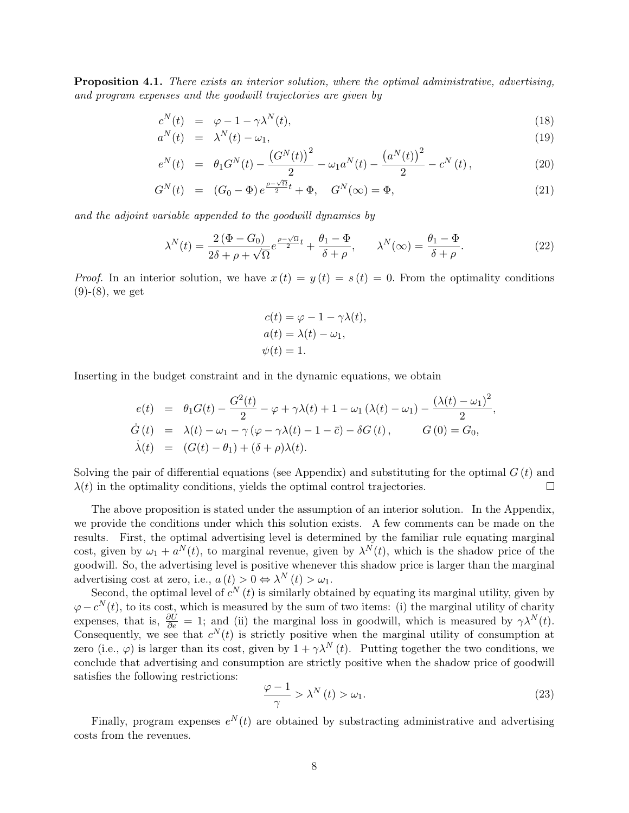<span id="page-7-0"></span>**Proposition 4.1.** There exists an interior solution, where the optimal administrative, advertising, and program expenses and the goodwill trajectories are given by

$$
c^N(t) = \varphi - 1 - \gamma \lambda^N(t), \qquad (18)
$$

$$
a^N(t) = \lambda^N(t) - \omega_1,\tag{19}
$$

$$
e^N(t) = \theta_1 G^N(t) - \frac{\left(G^N(t)\right)^2}{2} - \omega_1 a^N(t) - \frac{\left(a^N(t)\right)^2}{2} - c^N(t), \qquad (20)
$$

$$
G^{N}(t) = (G_0 - \Phi) e^{\frac{\rho - \sqrt{\Omega}}{2}t} + \Phi, \quad G^{N}(\infty) = \Phi,
$$
\n(21)

and the adjoint variable appended to the goodwill dynamics by

$$
\lambda^N(t) = \frac{2(\Phi - G_0)}{2\delta + \rho + \sqrt{\Omega}} e^{\frac{\rho - \sqrt{\Omega}}{2}t} + \frac{\theta_1 - \Phi}{\delta + \rho}, \qquad \lambda^N(\infty) = \frac{\theta_1 - \Phi}{\delta + \rho}.
$$
 (22)

*Proof.* In an interior solution, we have  $x(t) = y(t) = s(t) = 0$ . From the optimality conditions  $(9)-(8)$  $(9)-(8)$  $(9)-(8)$ , we get

$$
c(t) = \varphi - 1 - \gamma \lambda(t),
$$
  
\n
$$
a(t) = \lambda(t) - \omega_1,
$$
  
\n
$$
\psi(t) = 1.
$$

Inserting in the budget constraint and in the dynamic equations, we obtain

$$
e(t) = \theta_1 G(t) - \frac{G^2(t)}{2} - \varphi + \gamma \lambda(t) + 1 - \omega_1 (\lambda(t) - \omega_1) - \frac{(\lambda(t) - \omega_1)^2}{2}
$$
  
\n
$$
\dot{G}(t) = \lambda(t) - \omega_1 - \gamma (\varphi - \gamma \lambda(t) - 1 - \bar{c}) - \delta G(t), \qquad G(0) = G_0,
$$
  
\n
$$
\dot{\lambda}(t) = (G(t) - \theta_1) + (\delta + \rho) \lambda(t).
$$

Solving the pair of differential equations (see Appendix) and substituting for the optimal  $G(t)$  and  $\lambda(t)$  in the optimality conditions, yields the optimal control trajectories.  $\Box$ 

The above proposition is stated under the assumption of an interior solution. In the Appendix, we provide the conditions under which this solution exists. A few comments can be made on the results. First, the optimal advertising level is determined by the familiar rule equating marginal cost, given by  $\omega_1 + a^N(t)$ , to marginal revenue, given by  $\lambda^N(t)$ , which is the shadow price of the goodwill. So, the advertising level is positive whenever this shadow price is larger than the marginal advertising cost at zero, i.e.,  $a(t) > 0 \Leftrightarrow \lambda^N(t) > \omega_1$ .

Second, the optimal level of  $c^N(t)$  is similarly obtained by equating its marginal utility, given by  $\varphi - c^N(t)$ , to its cost, which is measured by the sum of two items: (i) the marginal utility of charity expenses, that is,  $\frac{\partial U}{\partial e} = 1$ ; and (ii) the marginal loss in goodwill, which is measured by  $\gamma \lambda^{N}(t)$ . Consequently, we see that  $c^N(t)$  is strictly positive when the marginal utility of consumption at zero (i.e.,  $\varphi$ ) is larger than its cost, given by  $1 + \gamma \lambda^{N}(t)$ . Putting together the two conditions, we conclude that advertising and consumption are strictly positive when the shadow price of goodwill satisfies the following restrictions:

$$
\frac{\varphi - 1}{\gamma} > \lambda^N(t) > \omega_1.
$$
\n(23)

,

Finally, program expenses  $e^N(t)$  are obtained by substracting administrative and advertising costs from the revenues.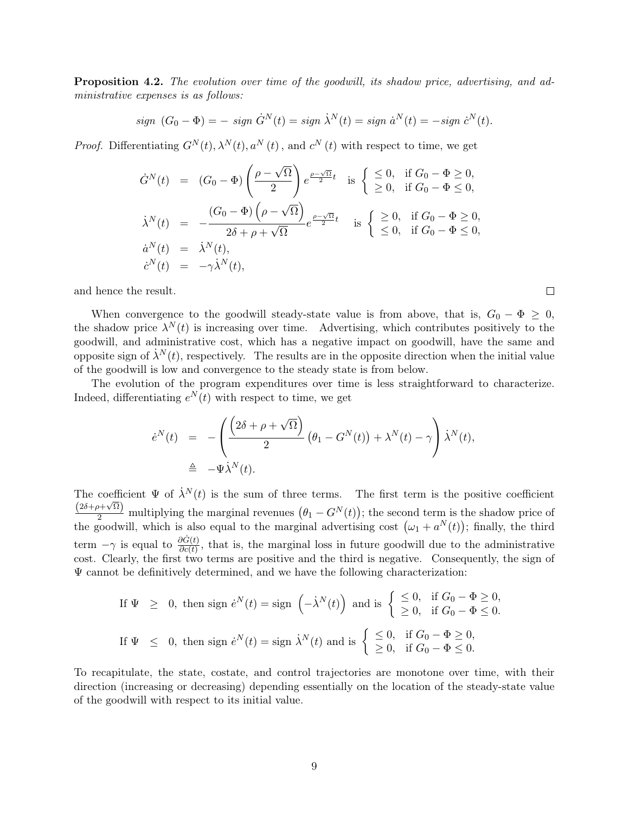Proposition 4.2. The evolution over time of the goodwill, its shadow price, advertising, and administrative expenses is as follows:

$$
sign (G_0 - \Phi) = - sign \dot{G}^N(t) = sign \dot{\lambda}^N(t) = sign \dot{a}^N(t) = - sign \dot{c}^N(t).
$$

*Proof.* Differentiating  $G^N(t)$ ,  $\lambda^N(t)$ ,  $a^N(t)$ , and  $c^N(t)$  with respect to time, we get

$$
\dot{G}^N(t) = (G_0 - \Phi) \left( \frac{\rho - \sqrt{\Omega}}{2} \right) e^{\frac{\rho - \sqrt{\Omega}}{2}t} \text{ is } \begin{cases} \leq 0, & \text{if } G_0 - \Phi \geq 0, \\ \geq 0, & \text{if } G_0 - \Phi \leq 0, \end{cases}
$$

$$
\dot{\lambda}^N(t) = -\frac{(G_0 - \Phi) \left( \rho - \sqrt{\Omega} \right)}{2\delta + \rho + \sqrt{\Omega}} e^{\frac{\rho - \sqrt{\Omega}}{2}t} \text{ is } \begin{cases} \geq 0, & \text{if } G_0 - \Phi \geq 0, \\ \leq 0, & \text{if } G_0 - \Phi \leq 0, \end{cases}
$$

$$
\dot{a}^N(t) = \dot{\lambda}^N(t),
$$

$$
\dot{c}^N(t) = -\gamma \dot{\lambda}^N(t),
$$

and hence the result.

When convergence to the goodwill steady-state value is from above, that is,  $G_0 - \Phi \geq 0$ , the shadow price  $\lambda^{N}(t)$  is increasing over time. Advertising, which contributes positively to the goodwill, and administrative cost, which has a negative impact on goodwill, have the same and opposite sign of  $\dot{\lambda}^N(t)$ , respectively. The results are in the opposite direction when the initial value of the goodwill is low and convergence to the steady state is from below.

The evolution of the program expenditures over time is less straightforward to characterize. Indeed, differentiating  $e^N(t)$  with respect to time, we get

$$
\dot{e}^N(t) = -\left(\frac{\left(2\delta + \rho + \sqrt{\Omega}\right)}{2} \left(\theta_1 - G^N(t)\right) + \lambda^N(t) - \gamma\right) \dot{\lambda}^N(t),
$$
  

$$
\triangleq -\Psi \dot{\lambda}^N(t).
$$

The coefficient  $\Psi$  of  $\dot{\lambda}^N(t)$  is the sum of three terms. The first term is the positive coefficient  $\frac{(2\delta + \rho + \sqrt{\Omega})}{2}$  multiplying the marginal revenues  $(\theta_1 - G^N(t))$ ; the second term is the shadow price of the goodwill, which is also equal to the marginal advertising cost  $(\omega_1 + a^N(t))$ ; finally, the third term  $-\gamma$  is equal to  $\frac{\partial \dot{G}(t)}{\partial c(t)}$ , that is, the marginal loss in future goodwill due to the administrative cost. Clearly, the first two terms are positive and the third is negative. Consequently, the sign of  $\Psi$  cannot be definitively determined, and we have the following characterization:

If 
$$
\Psi \geq 0
$$
, then sign  $\dot{e}^N(t) = \text{sign} \left( -\dot{\lambda}^N(t) \right)$  and is  $\begin{cases} \leq 0, & \text{if } G_0 - \Phi \geq 0, \\ \geq 0, & \text{if } G_0 - \Phi \leq 0. \end{cases}$   
\nIf  $\Psi \leq 0$ , then sign  $\dot{e}^N(t) = \text{sign } \dot{\lambda}^N(t)$  and is  $\begin{cases} \leq 0, & \text{if } G_0 - \Phi \geq 0, \\ \geq 0, & \text{if } G_0 - \Phi \leq 0. \end{cases}$ 

To recapitulate, the state, costate, and control trajectories are monotone over time, with their direction (increasing or decreasing) depending essentially on the location of the steady-state value of the goodwill with respect to its initial value.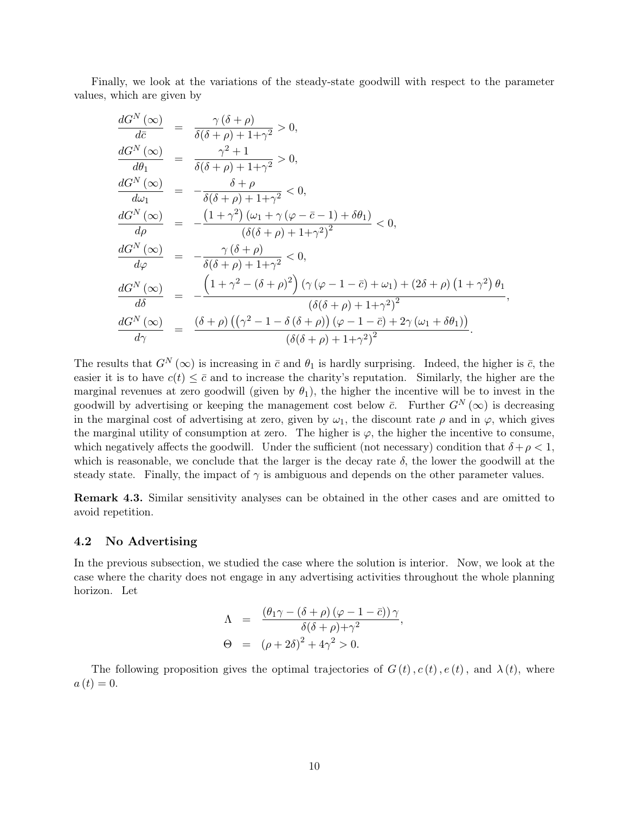Finally, we look at the variations of the steady-state goodwill with respect to the parameter values, which are given by

$$
\frac{dG^N(\infty)}{d\bar{c}} = \frac{\gamma(\delta + \rho)}{\delta(\delta + \rho) + 1 + \gamma^2} > 0,
$$
\n
$$
\frac{dG^N(\infty)}{d\theta_1} = \frac{\gamma^2 + 1}{\delta(\delta + \rho) + 1 + \gamma^2} > 0,
$$
\n
$$
\frac{dG^N(\infty)}{d\omega_1} = -\frac{\delta + \rho}{\delta(\delta + \rho) + 1 + \gamma^2} < 0,
$$
\n
$$
\frac{dG^N(\infty)}{d\rho} = -\frac{(1 + \gamma^2)(\omega_1 + \gamma(\varphi - \bar{c} - 1) + \delta\theta_1)}{(\delta(\delta + \rho) + 1 + \gamma^2)^2} < 0,
$$
\n
$$
\frac{dG^N(\infty)}{d\varphi} = -\frac{\gamma(\delta + \rho)}{\delta(\delta + \rho) + 1 + \gamma^2} < 0,
$$
\n
$$
\frac{dG^N(\infty)}{d\delta} = -\frac{\left(1 + \gamma^2 - (\delta + \rho)^2\right) (\gamma(\varphi - 1 - \bar{c}) + \omega_1) + (2\delta + \rho) (1 + \gamma^2) \theta_1}{(\delta(\delta + \rho) + 1 + \gamma^2)^2},
$$
\n
$$
\frac{dG^N(\infty)}{d\gamma} = \frac{(\delta + \rho) ((\gamma^2 - 1 - \delta(\delta + \rho))(\varphi - 1 - \bar{c}) + 2\gamma(\omega_1 + \delta\theta_1))}{(\delta(\delta + \rho) + 1 + \gamma^2)^2}.
$$

The results that  $G^N(\infty)$  is increasing in  $\bar{c}$  and  $\theta_1$  is hardly surprising. Indeed, the higher is  $\bar{c}$ , the easier it is to have  $c(t) \leq \bar{c}$  and to increase the charity's reputation. Similarly, the higher are the marginal revenues at zero goodwill (given by  $\theta_1$ ), the higher the incentive will be to invest in the goodwill by advertising or keeping the management cost below  $\bar{c}$ . Further  $G^N(\infty)$  is decreasing in the marginal cost of advertising at zero, given by  $\omega_1$ , the discount rate  $\rho$  and in  $\varphi$ , which gives the marginal utility of consumption at zero. The higher is  $\varphi$ , the higher the incentive to consume, which negatively affects the goodwill. Under the sufficient (not necessary) condition that  $\delta + \rho < 1$ , which is reasonable, we conclude that the larger is the decay rate  $\delta$ , the lower the goodwill at the steady state. Finally, the impact of  $\gamma$  is ambiguous and depends on the other parameter values.

Remark 4.3. Similar sensitivity analyses can be obtained in the other cases and are omitted to avoid repetition.

#### 4.2 No Advertising

In the previous subsection, we studied the case where the solution is interior. Now, we look at the case where the charity does not engage in any advertising activities throughout the whole planning horizon. Let

$$
\Lambda = \frac{(\theta_1 \gamma - (\delta + \rho) (\varphi - 1 - \bar{c})) \gamma}{\delta(\delta + \rho) + \gamma^2},
$$
  
\n
$$
\Theta = (\rho + 2\delta)^2 + 4\gamma^2 > 0.
$$

The following proposition gives the optimal trajectories of  $G(t)$ ,  $c(t)$ ,  $e(t)$ , and  $\lambda(t)$ , where  $a(t) = 0.$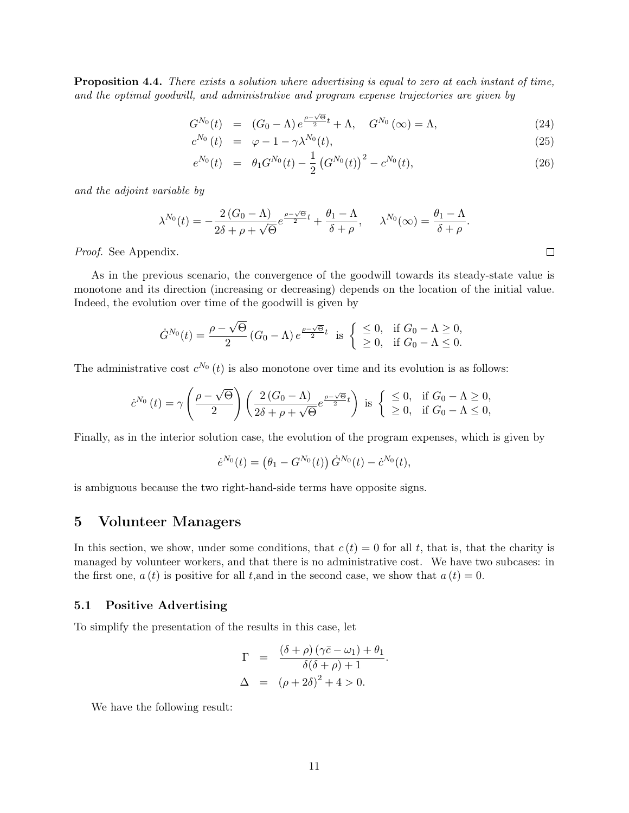<span id="page-10-0"></span>Proposition 4.4. There exists a solution where advertising is equal to zero at each instant of time, and the optimal goodwill, and administrative and program expense trajectories are given by

$$
G^{N_0}(t) = (G_0 - \Lambda) e^{\frac{\rho - \sqrt{\Theta}}{2}t} + \Lambda, \quad G^{N_0}(\infty) = \Lambda,
$$
\n(24)

$$
c^{N_0}(t) = \varphi - 1 - \gamma \lambda^{N_0}(t), \qquad (25)
$$

$$
e^{N_0}(t) = \theta_1 G^{N_0}(t) - \frac{1}{2} \left( G^{N_0}(t) \right)^2 - c^{N_0}(t), \tag{26}
$$

and the adjoint variable by

$$
\lambda^{N_0}(t) = -\frac{2(G_0 - \Lambda)}{2\delta + \rho + \sqrt{\Theta}} e^{\frac{\rho - \sqrt{\Theta}}{2}t} + \frac{\theta_1 - \Lambda}{\delta + \rho}, \quad \lambda^{N_0}(\infty) = \frac{\theta_1 - \Lambda}{\delta + \rho}.
$$

Proof. See Appendix.

As in the previous scenario, the convergence of the goodwill towards its steady-state value is monotone and its direction (increasing or decreasing) depends on the location of the initial value. Indeed, the evolution over time of the goodwill is given by

$$
\dot{G}^{N_0}(t) = \frac{\rho - \sqrt{\Theta}}{2} (G_0 - \Lambda) e^{\frac{\rho - \sqrt{\Theta}}{2}t} \text{ is } \begin{cases} \leq 0, & \text{if } G_0 - \Lambda \geq 0, \\ \geq 0, & \text{if } G_0 - \Lambda \leq 0. \end{cases}
$$

The administrative cost  $c^{N_0}(t)$  is also monotone over time and its evolution is as follows:

$$
\dot{c}^{N_0}(t) = \gamma \left(\frac{\rho - \sqrt{\Theta}}{2}\right) \left(\frac{2\left(G_0 - \Lambda\right)}{2\delta + \rho + \sqrt{\Theta}} e^{\frac{\rho - \sqrt{\Theta}}{2}t}\right) \text{ is } \begin{cases} \leq 0, & \text{if } G_0 - \Lambda \geq 0, \\ \geq 0, & \text{if } G_0 - \Lambda \leq 0, \end{cases}
$$

Finally, as in the interior solution case, the evolution of the program expenses, which is given by

$$
\dot{e}^{N_0}(t) = (\theta_1 - G^{N_0}(t)) \dot{G}^{N_0}(t) - \dot{c}^{N_0}(t),
$$

is ambiguous because the two right-hand-side terms have opposite signs.

### 5 Volunteer Managers

In this section, we show, under some conditions, that  $c(t) = 0$  for all t, that is, that the charity is managed by volunteer workers, and that there is no administrative cost. We have two subcases: in the first one,  $a(t)$  is positive for all t, and in the second case, we show that  $a(t) = 0$ .

#### 5.1 Positive Advertising

To simplify the presentation of the results in this case, let

$$
\Gamma = \frac{(\delta + \rho)(\gamma \bar{c} - \omega_1) + \theta_1}{\delta(\delta + \rho) + 1}.
$$
  
\n
$$
\Delta = (\rho + 2\delta)^2 + 4 > 0.
$$

We have the following result: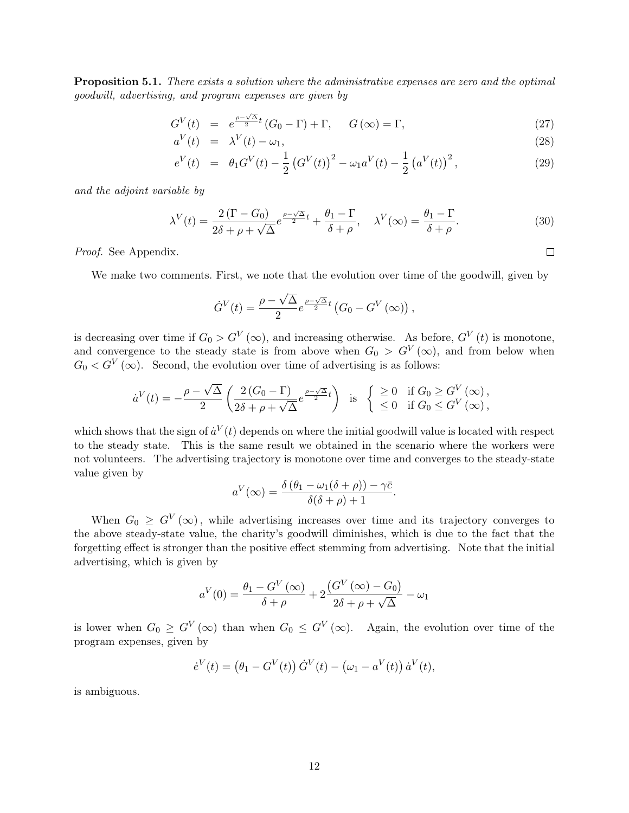<span id="page-11-0"></span>**Proposition 5.1.** There exists a solution where the administrative expenses are zero and the optimal goodwill, advertising, and program expenses are given by

<span id="page-11-1"></span>
$$
G^{V}(t) = e^{\frac{\rho - \sqrt{\Delta}}{2}t} (G_0 - \Gamma) + \Gamma, \quad G(\infty) = \Gamma,
$$
\n(27)

$$
a^V(t) = \lambda^V(t) - \omega_1,\tag{28}
$$

$$
e^{V}(t) = \theta_1 G^{V}(t) - \frac{1}{2} (G^{V}(t))^{2} - \omega_1 a^{V}(t) - \frac{1}{2} (a^{V}(t))^{2}, \qquad (29)
$$

and the adjoint variable by

$$
\lambda^V(t) = \frac{2(\Gamma - G_0)}{2\delta + \rho + \sqrt{\Delta}} e^{\frac{\rho - \sqrt{\Delta}}{2}t} + \frac{\theta_1 - \Gamma}{\delta + \rho}, \quad \lambda^V(\infty) = \frac{\theta_1 - \Gamma}{\delta + \rho}.
$$
 (30)

Proof. See Appendix.

We make two comments. First, we note that the evolution over time of the goodwill, given by

$$
\dot{G}^V(t) = \frac{\rho - \sqrt{\Delta}}{2} e^{\frac{\rho - \sqrt{\Delta}}{2}t} \left( G_0 - G^V(\infty) \right),
$$

is decreasing over time if  $G_0 > G^V(\infty)$ , and increasing otherwise. As before,  $G^V(t)$  is monotone, and convergence to the steady state is from above when  $G_0 > G^V(\infty)$ , and from below when  $G_0 < G^V(\infty)$ . Second, the evolution over time of advertising is as follows:

$$
\dot{a}^V(t) = -\frac{\rho - \sqrt{\Delta}}{2} \left( \frac{2\left(G_0 - \Gamma\right)}{2\delta + \rho + \sqrt{\Delta}} e^{\frac{\rho - \sqrt{\Delta}}{2}t} \right) \text{ is } \begin{cases} \geq 0 & \text{if } G_0 \geq G^V(\infty), \\ \leq 0 & \text{if } G_0 \leq G^V(\infty), \end{cases}
$$

which shows that the sign of  $\dot{a}^V(t)$  depends on where the initial goodwill value is located with respect to the steady state. This is the same result we obtained in the scenario where the workers were not volunteers. The advertising trajectory is monotone over time and converges to the steady-state value given by

$$
a^{V}(\infty) = \frac{\delta(\theta_1 - \omega_1(\delta + \rho)) - \gamma \bar{c}}{\delta(\delta + \rho) + 1}.
$$

When  $G_0 \geq G^V(\infty)$ , while advertising increases over time and its trajectory converges to the above steady-state value, the charity's goodwill diminishes, which is due to the fact that the forgetting effect is stronger than the positive effect stemming from advertising. Note that the initial advertising, which is given by

$$
a^{V}(0) = \frac{\theta_1 - G^{V}(\infty)}{\delta + \rho} + 2\frac{(G^{V}(\infty) - G_0)}{2\delta + \rho + \sqrt{\Delta}} - \omega_1
$$

is lower when  $G_0 \geq G^V(\infty)$  than when  $G_0 \leq G^V(\infty)$ . Again, the evolution over time of the program expenses, given by

$$
\dot{e}^V(t) = (\theta_1 - G^V(t)) \dot{G}^V(t) - (\omega_1 - a^V(t)) \dot{a}^V(t),
$$

is ambiguous.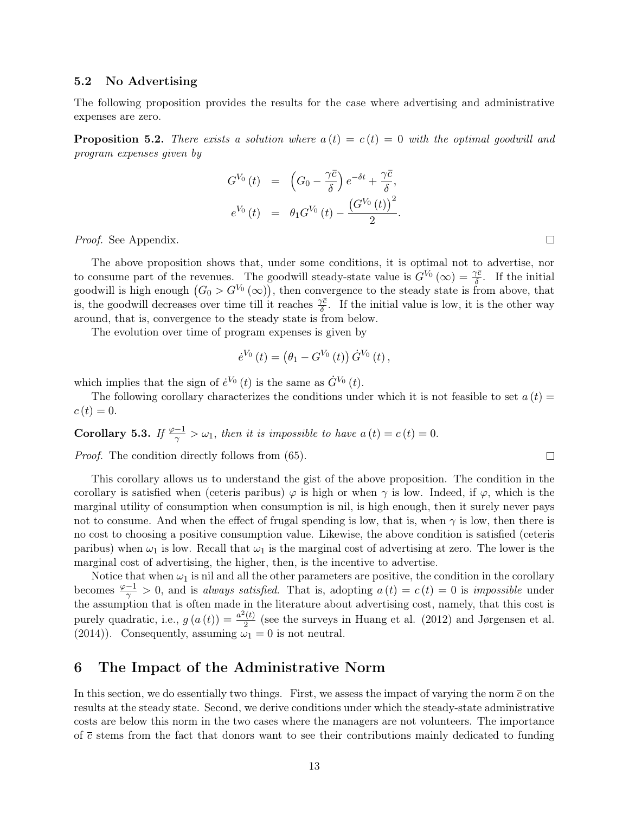#### 5.2 No Advertising

The following proposition provides the results for the case where advertising and administrative expenses are zero.

<span id="page-12-0"></span>**Proposition 5.2.** There exists a solution where  $a(t) = c(t) = 0$  with the optimal goodwill and program expenses given by

$$
G^{V_0}(t) = (G_0 - \frac{\gamma \bar{c}}{\delta}) e^{-\delta t} + \frac{\gamma \bar{c}}{\delta},
$$
  
\n
$$
e^{V_0}(t) = \theta_1 G^{V_0}(t) - \frac{(G^{V_0}(t))^2}{2}.
$$

Proof. See Appendix.

The above proposition shows that, under some conditions, it is optimal not to advertise, nor to consume part of the revenues. The goodwill steady-state value is  $G^{V_0}(\infty) = \frac{\gamma \bar{c}}{\delta}$ . If the initial goodwill is high enough  $(G_0 > G^{V_0}(\infty))$ , then convergence to the steady state is from above, that is, the goodwill decreases over time till it reaches  $\frac{\gamma \bar{c}}{\delta}$ . If the initial value is low, it is the other way around, that is, convergence to the steady state is from below.

The evolution over time of program expenses is given by

$$
\dot{e}^{V_0} (t) = (\theta_1 - G^{V_0} (t)) \dot{G}^{V_0} (t) ,
$$

which implies that the sign of  $\dot{e}^{V_0}(t)$  is the same as  $\dot{G}^{V_0}(t)$ .

The following corollary characterizes the conditions under which it is not feasible to set  $a(t)$  $c(t) = 0.$ 

**Corollary 5.3.** If  $\frac{\varphi-1}{\gamma} > \omega_1$ , then it is impossible to have  $a(t) = c(t) = 0$ .

Proof. The condition directly follows from [\(65\)](#page-21-0).

This corollary allows us to understand the gist of the above proposition. The condition in the corollary is satisfied when (ceteris paribus)  $\varphi$  is high or when  $\gamma$  is low. Indeed, if  $\varphi$ , which is the marginal utility of consumption when consumption is nil, is high enough, then it surely never pays not to consume. And when the effect of frugal spending is low, that is, when  $\gamma$  is low, then there is no cost to choosing a positive consumption value. Likewise, the above condition is satisfied (ceteris paribus) when  $\omega_1$  is low. Recall that  $\omega_1$  is the marginal cost of advertising at zero. The lower is the marginal cost of advertising, the higher, then, is the incentive to advertise.

Notice that when  $\omega_1$  is nil and all the other parameters are positive, the condition in the corollary becomes  $\frac{\varphi-1}{\gamma} > 0$ , and is always satisfied. That is, adopting  $a(t) = c(t) = 0$  is impossible under the assumption that is often made in the literature about advertising cost, namely, that this cost is purely quadratic, i.e.,  $g(a(t)) = \frac{a^2(t)}{2}$  $\frac{1}{2}$  (see the surveys in Huang et al. (2012) and Jørgensen et al. (2014)). Consequently, assuming  $\omega_1 = 0$  is not neutral.

## 6 The Impact of the Administrative Norm

In this section, we do essentially two things. First, we assess the impact of varying the norm  $\bar{c}$  on the results at the steady state. Second, we derive conditions under which the steady-state administrative costs are below this norm in the two cases where the managers are not volunteers. The importance of  $\bar{c}$  stems from the fact that donors want to see their contributions mainly dedicated to funding

 $\Box$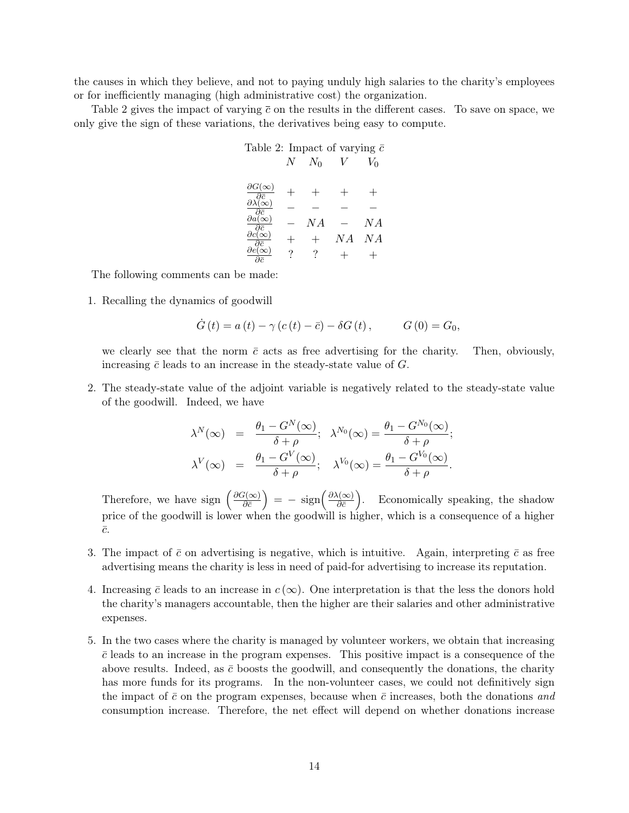the causes in which they believe, and not to paying unduly high salaries to the charity's employees or for inefficiently managing (high administrative cost) the organization.

Table 2 gives the impact of varying  $\bar{c}$  on the results in the different cases. To save on space, we only give the sign of these variations, the derivatives being easy to compute.

| Table 2: Impact of varying $\bar{c}$                                           |   |       |        |       |
|--------------------------------------------------------------------------------|---|-------|--------|-------|
|                                                                                | N | $N_0$ |        | $V_0$ |
|                                                                                |   |       |        |       |
| $\partial G(\infty)$                                                           |   |       | $^{+}$ |       |
| $-\partial \bar{c}$                                                            |   |       |        |       |
| $\partial \lambda(\infty)$                                                     |   |       |        |       |
| $\overline{\frac{\partial \bar{c}}{\partial a(\infty)}}$<br>$\partial \bar{c}$ |   | N A   |        | N A   |
| $\partial \bar{c}$                                                             |   |       | N A    | NA    |
|                                                                                | ? |       |        |       |

The following comments can be made:

1. Recalling the dynamics of goodwill

$$
\dot{G}(t) = a(t) - \gamma (c(t) - \bar{c}) - \delta G(t), \qquad G(0) = G_0,
$$

we clearly see that the norm  $\bar{c}$  acts as free advertising for the charity. Then, obviously, increasing  $\bar{c}$  leads to an increase in the steady-state value of  $G$ .

2. The steady-state value of the adjoint variable is negatively related to the steady-state value of the goodwill. Indeed, we have

$$
\lambda^N(\infty) = \frac{\theta_1 - G^N(\infty)}{\delta + \rho}; \quad \lambda^{N_0}(\infty) = \frac{\theta_1 - G^{N_0}(\infty)}{\delta + \rho};
$$
  

$$
\lambda^V(\infty) = \frac{\theta_1 - G^V(\infty)}{\delta + \rho}; \quad \lambda^{V_0}(\infty) = \frac{\theta_1 - G^{V_0}(\infty)}{\delta + \rho}.
$$

Therefore, we have sign  $\left(\frac{\partial G(\infty)}{\partial \overline{z}}\right)$  $\left(\frac{\partial \mathcal{G}(\infty)}{\partial \bar{c}}\right) = -\,\, \mathrm{sign}\left(\frac{\partial \lambda(\infty)}{\partial \bar{c}}\right)$  $\frac{\lambda(\infty)}{\partial \bar{\varepsilon}}$ . Economically speaking, the shadow price of the goodwill is lower when the goodwill is higher, which is a consequence of a higher  $\bar{c}$ .

- 3. The impact of  $\bar{c}$  on advertising is negative, which is intuitive. Again, interpreting  $\bar{c}$  as free advertising means the charity is less in need of paid-for advertising to increase its reputation.
- 4. Increasing  $\bar{c}$  leads to an increase in  $c(\infty)$ . One interpretation is that the less the donors hold the charity's managers accountable, then the higher are their salaries and other administrative expenses.
- 5. In the two cases where the charity is managed by volunteer workers, we obtain that increasing  $\bar{c}$  leads to an increase in the program expenses. This positive impact is a consequence of the above results. Indeed, as  $\bar{c}$  boosts the goodwill, and consequently the donations, the charity has more funds for its programs. In the non-volunteer cases, we could not definitively sign the impact of  $\bar{c}$  on the program expenses, because when  $\bar{c}$  increases, both the donations and consumption increase. Therefore, the net effect will depend on whether donations increase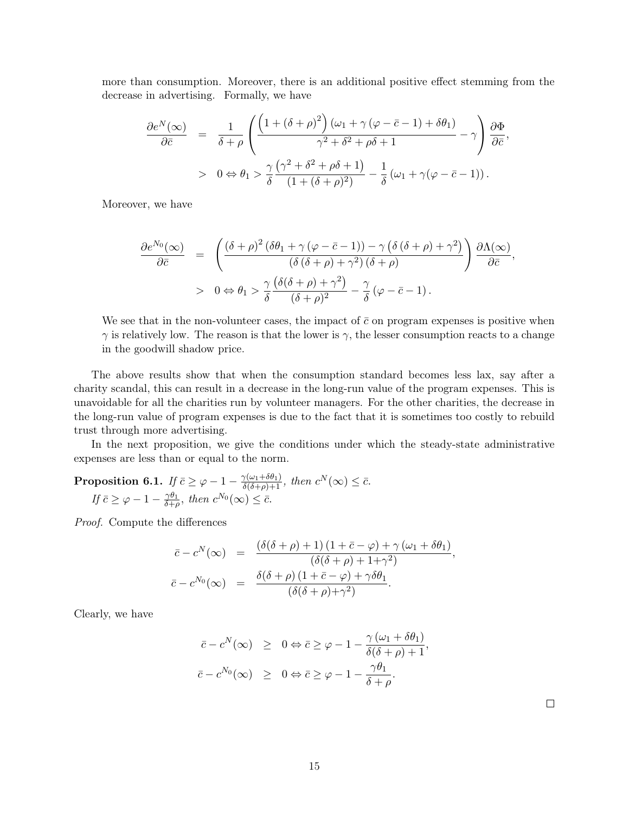more than consumption. Moreover, there is an additional positive effect stemming from the decrease in advertising. Formally, we have

$$
\frac{\partial e^N(\infty)}{\partial \bar{c}} = \frac{1}{\delta + \rho} \left( \frac{\left(1 + (\delta + \rho)^2\right) (\omega_1 + \gamma (\varphi - \bar{c} - 1) + \delta \theta_1)}{\gamma^2 + \delta^2 + \rho \delta + 1} - \gamma \right) \frac{\partial \Phi}{\partial \bar{c}},
$$
  
> 0 \Leftrightarrow \theta\_1 > \frac{\gamma}{\delta} \frac{(\gamma^2 + \delta^2 + \rho \delta + 1)}{(1 + (\delta + \rho)^2)} - \frac{1}{\delta} (\omega\_1 + \gamma (\varphi - \bar{c} - 1)).

Moreover, we have

$$
\frac{\partial e^{N_0}(\infty)}{\partial \bar{c}} = \left( \frac{(\delta + \rho)^2 (\delta \theta_1 + \gamma (\varphi - \bar{c} - 1)) - \gamma (\delta (\delta + \rho) + \gamma^2)}{(\delta (\delta + \rho) + \gamma^2) (\delta + \rho)} \right) \frac{\partial \Lambda(\infty)}{\partial \bar{c}},
$$
  
> 0 \Leftrightarrow \theta\_1 > \frac{\gamma}{\delta} \frac{(\delta(\delta + \rho) + \gamma^2)}{(\delta + \rho)^2} - \frac{\gamma}{\delta} (\varphi - \bar{c} - 1).

We see that in the non-volunteer cases, the impact of  $\bar{c}$  on program expenses is positive when  $\gamma$  is relatively low. The reason is that the lower is  $\gamma$ , the lesser consumption reacts to a change in the goodwill shadow price.

The above results show that when the consumption standard becomes less lax, say after a charity scandal, this can result in a decrease in the long-run value of the program expenses. This is unavoidable for all the charities run by volunteer managers. For the other charities, the decrease in the long-run value of program expenses is due to the fact that it is sometimes too costly to rebuild trust through more advertising.

In the next proposition, we give the conditions under which the steady-state administrative expenses are less than or equal to the norm.

**Proposition 6.1.** If  $\bar{c} \geq \varphi - 1 - \frac{\gamma(\omega_1 + \delta\theta_1)}{\delta(\delta + \rho) + 1}$ , then  $c^N(\infty) \leq \bar{c}$ . If  $\bar{c} \geq \varphi - 1 - \frac{\gamma \theta_1}{\delta + c}$  $\frac{\gamma \theta_1}{\delta + \rho}$ , then  $c^{N_0}(\infty) \leq \bar{c}$ .

Proof. Compute the differences

$$
\bar{c} - c^N(\infty) = \frac{(\delta(\delta + \rho) + 1) (1 + \bar{c} - \varphi) + \gamma (\omega_1 + \delta \theta_1)}{(\delta(\delta + \rho) + 1 + \gamma^2)},
$$
  

$$
\bar{c} - c^{N_0}(\infty) = \frac{\delta(\delta + \rho) (1 + \bar{c} - \varphi) + \gamma \delta \theta_1}{(\delta(\delta + \rho) + \gamma^2)}.
$$

Clearly, we have

$$
\begin{array}{rcl}\n\bar{c} - c^N(\infty) & \geq & 0 \Leftrightarrow \bar{c} \geq \varphi - 1 - \frac{\gamma(\omega_1 + \delta\theta_1)}{\delta(\delta + \rho) + 1}, \\
\bar{c} - c^{N_0}(\infty) & \geq & 0 \Leftrightarrow \bar{c} \geq \varphi - 1 - \frac{\gamma\theta_1}{\delta + \rho}.\n\end{array}
$$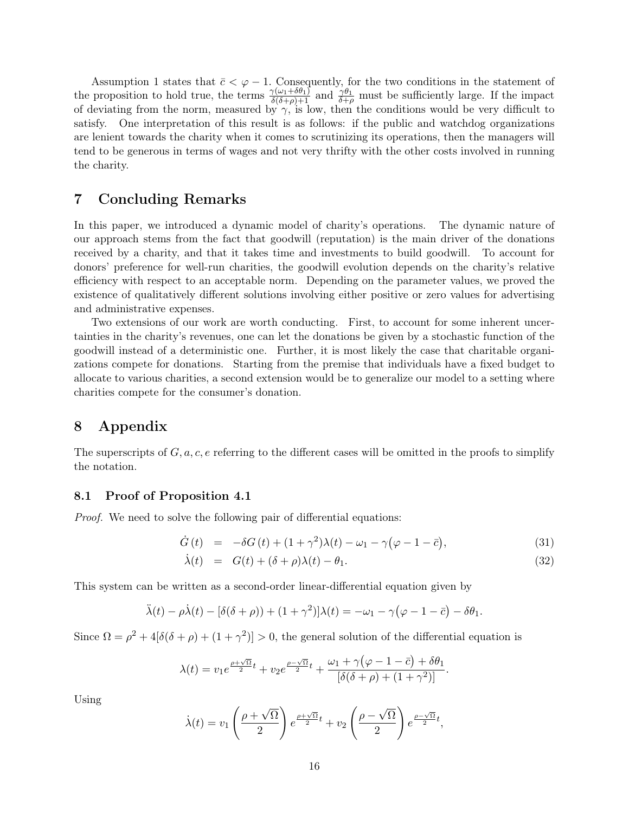Assumption [1](#page-4-4) states that  $\bar{c} < \varphi - 1$ . Consequently, for the two conditions in the statement of the proposition to hold true, the terms  $\frac{\gamma(\omega_1+\delta\theta_1)}{\delta(\delta+\rho)+1}$  and  $\frac{\gamma\theta_1}{\delta+\rho}$  must be sufficiently large. If the impact of deviating from the norm, measured by  $\gamma$ , is low, then the conditions would be very difficult to satisfy. One interpretation of this result is as follows: if the public and watchdog organizations are lenient towards the charity when it comes to scrutinizing its operations, then the managers will tend to be generous in terms of wages and not very thrifty with the other costs involved in running the charity.

## 7 Concluding Remarks

In this paper, we introduced a dynamic model of charity's operations. The dynamic nature of our approach stems from the fact that goodwill (reputation) is the main driver of the donations received by a charity, and that it takes time and investments to build goodwill. To account for donors' preference for well-run charities, the goodwill evolution depends on the charity's relative efficiency with respect to an acceptable norm. Depending on the parameter values, we proved the existence of qualitatively different solutions involving either positive or zero values for advertising and administrative expenses.

Two extensions of our work are worth conducting. First, to account for some inherent uncertainties in the charity's revenues, one can let the donations be given by a stochastic function of the goodwill instead of a deterministic one. Further, it is most likely the case that charitable organizations compete for donations. Starting from the premise that individuals have a fixed budget to allocate to various charities, a second extension would be to generalize our model to a setting where charities compete for the consumer's donation.

## 8 Appendix

The superscripts of  $G, a, c, e$  referring to the different cases will be omitted in the proofs to simplify the notation.

#### 8.1 Proof of Proposition [4.1](#page-7-0)

Proof. We need to solve the following pair of differential equations:

$$
\dot{G}(t) = -\delta G(t) + (1+\gamma^2)\lambda(t) - \omega_1 - \gamma(\varphi - 1 - \bar{c}), \qquad (31)
$$

$$
\dot{\lambda}(t) = G(t) + (\delta + \rho)\lambda(t) - \theta_1.
$$
\n(32)

This system can be written as a second-order linear-differential equation given by

$$
\ddot{\lambda}(t) - \rho \dot{\lambda}(t) - [\delta(\delta + \rho)) + (1 + \gamma^2)]\lambda(t) = -\omega_1 - \gamma(\varphi - 1 - \bar{c}) - \delta\theta_1.
$$

Since  $\Omega = \rho^2 + 4[\delta(\delta + \rho) + (1 + \gamma^2)] > 0$ , the general solution of the differential equation is

$$
\lambda(t) = v_1 e^{\frac{\rho + \sqrt{\Omega}}{2}t} + v_2 e^{\frac{\rho - \sqrt{\Omega}}{2}t} + \frac{\omega_1 + \gamma(\varphi - 1 - \bar{c}) + \delta\theta_1}{[\delta(\delta + \rho) + (1 + \gamma^2)]}.
$$

Using

$$
\dot{\lambda}(t) = v_1 \left(\frac{\rho + \sqrt{\Omega}}{2}\right) e^{\frac{\rho + \sqrt{\Omega}}{2}t} + v_2 \left(\frac{\rho - \sqrt{\Omega}}{2}\right) e^{\frac{\rho - \sqrt{\Omega}}{2}t},
$$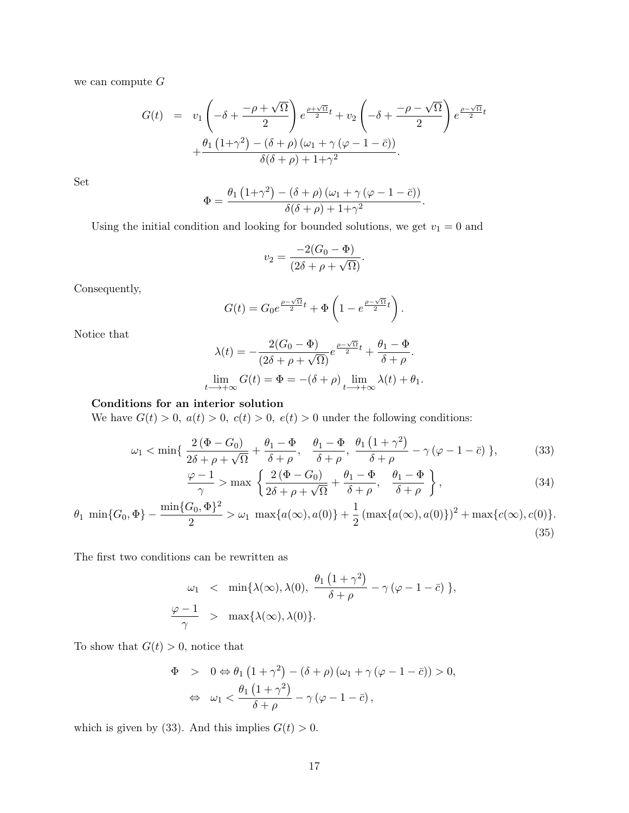we can compute  $G$ 

$$
G(t) = v_1 \left( -\delta + \frac{-\rho + \sqrt{\Omega}}{2} \right) e^{\frac{\rho + \sqrt{\Omega}}{2}t} + v_2 \left( -\delta + \frac{-\rho - \sqrt{\Omega}}{2} \right) e^{\frac{\rho - \sqrt{\Omega}}{2}t} + \frac{\theta_1 (1+\gamma^2) - (\delta + \rho) (\omega_1 + \gamma (\varphi - 1 - \bar{c}))}{\delta(\delta + \rho) + 1 + \gamma^2}.
$$

Set

$$
\Phi = \frac{\theta_1 (1+\gamma^2) - (\delta + \rho) (\omega_1 + \gamma (\varphi - 1 - \bar{c}))}{\delta(\delta + \rho) + 1 + \gamma^2}.
$$

Using the initial condition and looking for bounded solutions, we get  $v_1 = 0$  and

<span id="page-16-1"></span><span id="page-16-0"></span>
$$
v_2 = \frac{-2(G_0 - \Phi)}{(2\delta + \rho + \sqrt{\Omega})}.
$$

Consequently,

$$
G(t) = G_0 e^{\frac{\rho - \sqrt{\Omega}}{2}t} + \Phi \left( 1 - e^{\frac{\rho - \sqrt{\Omega}}{2}t} \right).
$$

Notice that

$$
\lambda(t) = -\frac{2(G_0 - \Phi)}{(2\delta + \rho + \sqrt{\Omega})} e^{\frac{\rho - \sqrt{\Omega}}{2}t} + \frac{\theta_1 - \Phi}{\delta + \rho}.
$$

$$
\lim_{t \to +\infty} G(t) = \Phi = -(\delta + \rho) \lim_{t \to +\infty} \lambda(t) + \theta_1.
$$

#### Conditions for an interior solution

We have  $G(t) > 0$ ,  $a(t) > 0$ ,  $c(t) > 0$ ,  $e(t) > 0$  under the following conditions:

$$
\omega_1 < \min\left\{\frac{2\left(\Phi - G_0\right)}{2\delta + \rho + \sqrt{\Omega}} + \frac{\theta_1 - \Phi}{\delta + \rho}, \frac{\theta_1 - \Phi}{\delta + \rho}, \frac{\theta_1\left(1 + \gamma^2\right)}{\delta + \rho} - \gamma\left(\varphi - 1 - \bar{c}\right)\right\},\tag{33}
$$

$$
\frac{\varphi - 1}{\gamma} > \max \left\{ \frac{2 (\Phi - G_0)}{2\delta + \rho + \sqrt{\Omega}} + \frac{\theta_1 - \Phi}{\delta + \rho}, \frac{\theta_1 - \Phi}{\delta + \rho} \right\},
$$
\n(34)

$$
\theta_1 \min\{G_0, \Phi\} - \frac{\min\{G_0, \Phi\}^2}{2} > \omega_1 \max\{a(\infty), a(0)\} + \frac{1}{2} (\max\{a(\infty), a(0)\})^2 + \max\{c(\infty), c(0)\}.
$$
\n(35)

The first two conditions can be rewritten as

$$
\omega_1 < \min\{\lambda(\infty), \lambda(0), \frac{\theta_1(1+\gamma^2)}{\delta+\rho} - \gamma(\varphi - 1 - \bar{c})\},
$$
\n
$$
\frac{\varphi - 1}{\gamma} > \max\{\lambda(\infty), \lambda(0)\}.
$$

To show that  $G(t) > 0$ , notice that

$$
\Phi > 0 \Leftrightarrow \theta_1 (1 + \gamma^2) - (\delta + \rho) (\omega_1 + \gamma (\varphi - 1 - \bar{c})) > 0,
$$
  

$$
\Leftrightarrow \omega_1 < \frac{\theta_1 (1 + \gamma^2)}{\delta + \rho} - \gamma (\varphi - 1 - \bar{c}),
$$

which is given by [\(33\)](#page-16-0). And this implies  $G(t) > 0$ .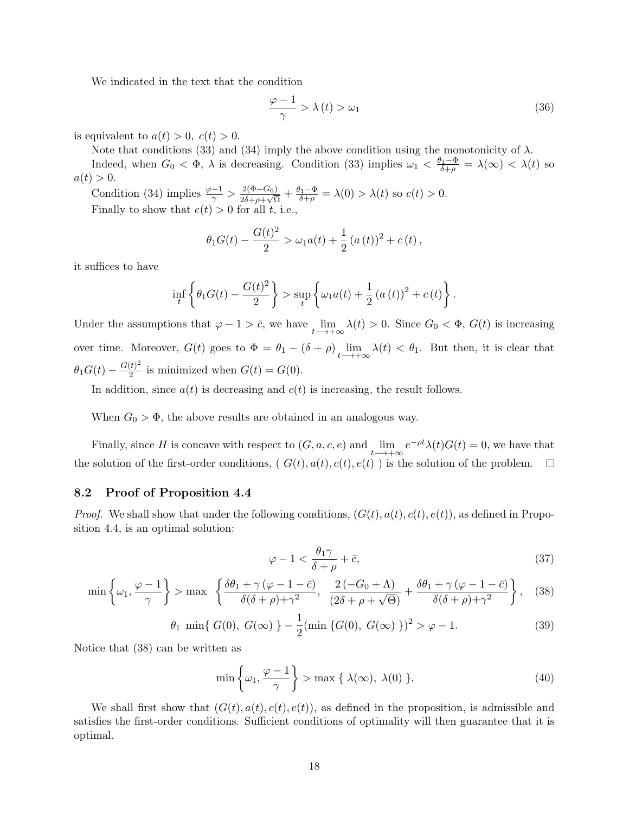We indicated in the text that the condition

$$
\frac{\varphi - 1}{\gamma} > \lambda(t) > \omega_1 \tag{36}
$$

is equivalent to  $a(t) > 0$ ,  $c(t) > 0$ .

Note that conditions [\(33\)](#page-16-0) and [\(34\)](#page-16-1) imply the above condition using the monotonicity of  $\lambda$ .

Indeed, when  $G_0 < \Phi$ ,  $\lambda$  is decreasing. Condition [\(33\)](#page-16-0) implies  $\omega_1 < \frac{\theta_1 - \Phi}{\delta + \rho} = \lambda(\infty) < \lambda(t)$  so  $a(t) > 0.$ 

Condition [\(34\)](#page-16-1) implies  $\frac{\varphi - 1}{\gamma} > \frac{2(\Phi - G_0)}{2\delta + \rho + \sqrt{\varsigma}}$  $\frac{2(\Phi-G_0)}{2\delta+\rho+\sqrt{\Omega}}+\frac{\theta_1-\Phi}{\delta+\rho}=\lambda(0)>\lambda(t)$  so  $c(t)>0$ . Finally to show that  $e(t) > 0$  for all t, i.e.,

$$
\theta_1 G(t) - \frac{G(t)^2}{2} > \omega_1 a(t) + \frac{1}{2} (a(t))^2 + c(t),
$$

it suffices to have

$$
\inf_{t} \left\{ \theta_1 G(t) - \frac{G(t)^2}{2} \right\} > \sup_{t} \left\{ \omega_1 a(t) + \frac{1}{2} (a(t))^2 + c(t) \right\}.
$$

Under the assumptions that  $\varphi - 1 > \bar{c}$ , we have  $\lim_{t \to +\infty} \lambda(t) > 0$ . Since  $G_0 < \Phi$ ,  $G(t)$  is increasing over time. Moreover,  $G(t)$  goes to  $\Phi = \theta_1 - (\delta + \rho) \lim_{t \to +\infty} \lambda(t) < \theta_1$ . But then, it is clear that  $\theta_1 G(t) - \frac{G(t)^2}{2}$  $\frac{1}{2}$  is minimized when  $G(t) = G(0)$ .

In addition, since  $a(t)$  is decreasing and  $c(t)$  is increasing, the result follows.

When  $G_0 > \Phi$ , the above results are obtained in an analogous way.

Finally, since H is concave with respect to  $(G, a, c, e)$  and  $\lim_{t \to +\infty} e^{-\rho t} \lambda(t) G(t) = 0$ , we have that the solution of the first-order conditions,  $(G(t), a(t), c(t), e(t))$  is the solution of the problem.  $\overline{\phantom{a}}$ 

#### 8.2 Proof of Proposition [4.4](#page-10-0)

*Proof.* We shall show that under the following conditions,  $(G(t), a(t), c(t), e(t))$ , as defined in Proposition [4.4,](#page-10-0) is an optimal solution:

<span id="page-17-1"></span>
$$
\varphi - 1 < \frac{\theta_1 \gamma}{\delta + \rho} + \bar{c},\tag{37}
$$

<span id="page-17-0"></span>
$$
\min\left\{\omega_1, \frac{\varphi - 1}{\gamma}\right\} > \max\left\{\frac{\delta\theta_1 + \gamma\left(\varphi - 1 - \bar{c}\right)}{\delta(\delta + \rho) + \gamma^2}, \frac{2\left(-G_0 + \Lambda\right)}{\left(2\delta + \rho + \sqrt{\Theta}\right)} + \frac{\delta\theta_1 + \gamma\left(\varphi - 1 - \bar{c}\right)}{\delta(\delta + \rho) + \gamma^2}\right\},\tag{38}
$$

<span id="page-17-2"></span>
$$
\theta_1 \min\{ G(0), G(\infty) \} - \frac{1}{2} (\min \{ G(0), G(\infty) \})^2 > \varphi - 1. \tag{39}
$$

Notice that [\(38\)](#page-17-0) can be written as

$$
\min\left\{\omega_1, \frac{\varphi - 1}{\gamma}\right\} > \max\left\{\lambda(\infty), \lambda(0)\right\}.
$$
\n(40)

We shall first show that  $(G(t), a(t), c(t), e(t))$ , as defined in the proposition, is admissible and satisfies the first-order conditions. Sufficient conditions of optimality will then guarantee that it is optimal.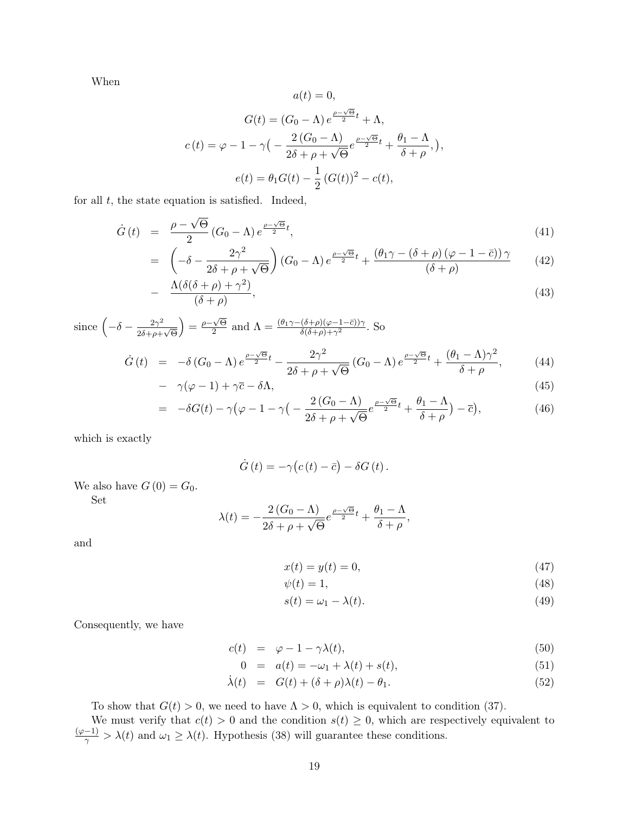When

$$
a(t) = 0,
$$
  
\n
$$
G(t) = (G_0 - \Lambda) e^{\frac{\rho - \sqrt{\Theta}}{2}t} + \Lambda,
$$
  
\n
$$
c(t) = \varphi - 1 - \gamma \left( -\frac{2(G_0 - \Lambda)}{2\delta + \rho + \sqrt{\Theta}} e^{\frac{\rho - \sqrt{\Theta}}{2}t} + \frac{\theta_1 - \Lambda}{\delta + \rho}, \right),
$$
  
\n
$$
e(t) = \theta_1 G(t) - \frac{1}{2} (G(t))^2 - c(t),
$$

for all  $t$ , the state equation is satisfied. Indeed,

$$
\dot{G}(t) = \frac{\rho - \sqrt{\Theta}}{2} (G_0 - \Lambda) e^{\frac{\rho - \sqrt{\Theta}}{2}t},\tag{41}
$$

$$
= \left(-\delta - \frac{2\gamma^2}{2\delta + \rho + \sqrt{\Theta}}\right) \left(G_0 - \Lambda\right) e^{\frac{\rho - \sqrt{\Theta}}{2}t} + \frac{\left(\theta_1\gamma - \left(\delta + \rho\right)\left(\varphi - 1 - \bar{c}\right)\right)\gamma}{\left(\delta + \rho\right)} \tag{42}
$$

$$
- \frac{\Lambda(\delta(\delta+\rho)+\gamma^2)}{(\delta+\rho)}, \tag{43}
$$

since 
$$
\left(-\delta - \frac{2\gamma^2}{2\delta + \rho + \sqrt{\Theta}}\right) = \frac{\rho - \sqrt{\Theta}}{2}
$$
 and  $\Lambda = \frac{(\theta_1 \gamma - (\delta + \rho)(\varphi - 1 - \overline{c}))\gamma}{\delta(\delta + \rho) + \gamma^2}$ . So

$$
\dot{G}(t) = -\delta (G_0 - \Lambda) e^{\frac{\rho - \sqrt{\Theta}}{2}t} - \frac{2\gamma^2}{2\delta + \rho + \sqrt{\Theta}} (G_0 - \Lambda) e^{\frac{\rho - \sqrt{\Theta}}{2}t} + \frac{(\theta_1 - \Lambda)\gamma^2}{\delta + \rho}, \tag{44}
$$

$$
-\gamma(\varphi-1)+\gamma\bar{c}-\delta\Lambda,\tag{45}
$$

$$
= -\delta G(t) - \gamma \left(\varphi - 1 - \gamma \right) \left(-\frac{2\left(G_0 - \Lambda\right)}{2\delta + \rho + \sqrt{\Theta}} e^{\frac{\rho - \sqrt{\Theta}}{2}t} + \frac{\theta_1 - \Lambda}{\delta + \rho}\right) - \overline{c}\right),\tag{46}
$$

which is exactly

$$
\dot{G}(t) = -\gamma (c(t) - \bar{c}) - \delta G(t).
$$

We also have  $G(0) = G_0$ .

Set

$$
\lambda(t) = -\frac{2(G_0 - \Lambda)}{2\delta + \rho + \sqrt{\Theta}} e^{\frac{\rho - \sqrt{\Theta}}{2}t} + \frac{\theta_1 - \Lambda}{\delta + \rho},
$$

and

$$
x(t) = y(t) = 0,\t\t(47)
$$

$$
\psi(t) = 1,\tag{48}
$$

$$
s(t) = \omega_1 - \lambda(t). \tag{49}
$$

Consequently, we have

$$
c(t) = \varphi - 1 - \gamma \lambda(t), \qquad (50)
$$

$$
0 = a(t) = -\omega_1 + \lambda(t) + s(t), \tag{51}
$$

$$
\dot{\lambda}(t) = G(t) + (\delta + \rho)\lambda(t) - \theta_1.
$$
\n(52)

To show that  $G(t) > 0$ , we need to have  $\Lambda > 0$ , which is equivalent to condition [\(37\)](#page-17-1).

We must verify that  $c(t) > 0$  and the condition  $s(t) \geq 0$ , which are respectively equivalent to  $\frac{(\varphi-1)}{\gamma} > \lambda(t)$  and  $\omega_1 \geq \lambda(t)$ . Hypothesis [\(38\)](#page-17-0) will guarantee these conditions.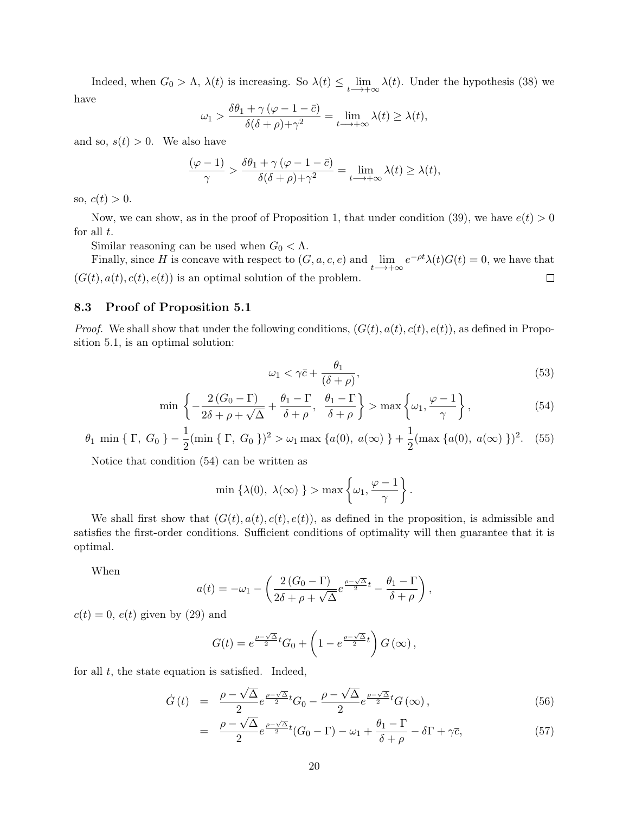Indeed, when  $G_0 > \Lambda$ ,  $\lambda(t)$  is increasing. So  $\lambda(t) \le \lim_{t \to +\infty} \lambda(t)$ . Under the hypothesis [\(38\)](#page-17-0) we have

$$
\omega_1 > \frac{\delta \theta_1 + \gamma (\varphi - 1 - \bar{c})}{\delta(\delta + \rho) + \gamma^2} = \lim_{t \to +\infty} \lambda(t) \ge \lambda(t),
$$

and so,  $s(t) > 0$ . We also have

$$
\frac{(\varphi - 1)}{\gamma} > \frac{\delta \theta_1 + \gamma (\varphi - 1 - \bar{c})}{\delta(\delta + \rho) + \gamma^2} = \lim_{t \to +\infty} \lambda(t) \ge \lambda(t),
$$

so,  $c(t) > 0$ .

Now, we can show, as in the proof of Proposition 1, that under condition [\(39\)](#page-17-2), we have  $e(t) > 0$ for all  $t$ .

Similar reasoning can be used when  $G_0 < \Lambda$ .

Finally, since H is concave with respect to  $(G, a, c, e)$  and  $\lim_{t \to +\infty} e^{-\rho t} \lambda(t) G(t) = 0$ , we have that  $(G(t), a(t), c(t), e(t))$  is an optimal solution of the problem.  $\Box$ 

#### 8.3 Proof of Proposition [5.1](#page-11-0)

*Proof.* We shall show that under the following conditions,  $(G(t), a(t), c(t), e(t))$ , as defined in Proposition [5.1,](#page-11-0) is an optimal solution:

<span id="page-19-1"></span>
$$
\omega_1 < \gamma \bar{c} + \frac{\theta_1}{(\delta + \rho)},\tag{53}
$$

<span id="page-19-0"></span>
$$
\min\left\{-\frac{2(G_0-\Gamma)}{2\delta+\rho+\sqrt{\Delta}}+\frac{\theta_1-\Gamma}{\delta+\rho},\ \frac{\theta_1-\Gamma}{\delta+\rho}\right\} > \max\left\{\omega_1,\frac{\varphi-1}{\gamma}\right\},\tag{54}
$$

<span id="page-19-2"></span>
$$
\theta_1 \min \{ \Gamma, G_0 \} - \frac{1}{2} (\min \{ \Gamma, G_0 \})^2 > \omega_1 \max \{ a(0), a(\infty) \} + \frac{1}{2} (\max \{ a(0), a(\infty) \})^2. \tag{55}
$$

Notice that condition [\(54\)](#page-19-0) can be written as

$$
\min \left\{ \lambda(0), \ \lambda(\infty) \ \right\} > \max \left\{ \omega_1, \frac{\varphi - 1}{\gamma} \right\}.
$$

We shall first show that  $(G(t), a(t), c(t), e(t))$ , as defined in the proposition, is admissible and satisfies the first-order conditions. Sufficient conditions of optimality will then guarantee that it is optimal.

When

$$
a(t) = -\omega_1 - \left(\frac{2(G_0 - \Gamma)}{2\delta + \rho + \sqrt{\Delta}}e^{\frac{\rho - \sqrt{\Delta}}{2}t} - \frac{\theta_1 - \Gamma}{\delta + \rho}\right),\,
$$

 $c(t) = 0$ ,  $e(t)$  given by [\(29\)](#page-11-1) and

$$
G(t) = e^{\frac{\rho - \sqrt{\Delta}}{2}t} G_0 + \left(1 - e^{\frac{\rho - \sqrt{\Delta}}{2}t}\right) G\left(\infty\right),
$$

for all  $t$ , the state equation is satisfied. Indeed,

$$
\dot{G}(t) = \frac{\rho - \sqrt{\Delta}}{2} e^{\frac{\rho - \sqrt{\Delta}}{2}t} G_0 - \frac{\rho - \sqrt{\Delta}}{2} e^{\frac{\rho - \sqrt{\Delta}}{2}t} G(\infty), \tag{56}
$$

$$
= \frac{\rho - \sqrt{\Delta}}{2} e^{\frac{\rho - \sqrt{\Delta}}{2}t} (G_0 - \Gamma) - \omega_1 + \frac{\theta_1 - \Gamma}{\delta + \rho} - \delta \Gamma + \gamma \overline{c}, \tag{57}
$$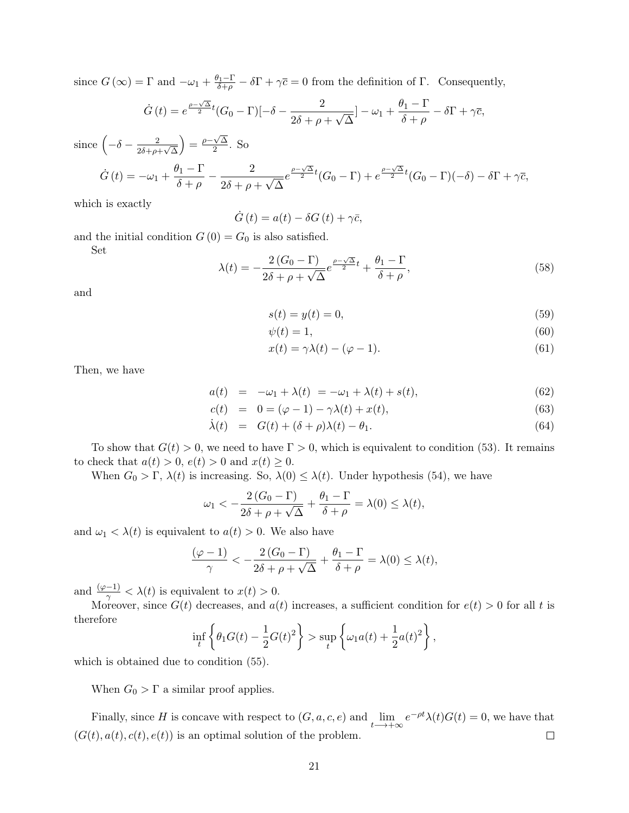since  $G(\infty) = \Gamma$  and  $-\omega_1 + \frac{\theta_1 - \Gamma}{\delta + \rho} - \delta \Gamma + \gamma \bar{c} = 0$  from the definition of  $\Gamma$ . Consequently,

$$
\dot{G}(t) = e^{\frac{\rho - \sqrt{\Delta}}{2}t}(G_0 - \Gamma)[-\delta - \frac{2}{2\delta + \rho + \sqrt{\Delta}}] - \omega_1 + \frac{\theta_1 - \Gamma}{\delta + \rho} - \delta\Gamma + \gamma\bar{c},
$$

since  $\left(-\delta - \frac{2}{25} \right)$  $\frac{2}{2\delta + \rho + \sqrt{\Delta}}$  $= \frac{\rho - \sqrt{\Delta}}{2}$  $\frac{\sqrt{2}}{2}$ . So

$$
\dot{G}(t) = -\omega_1 + \frac{\theta_1 - \Gamma}{\delta + \rho} - \frac{2}{2\delta + \rho + \sqrt{\Delta}} e^{\frac{\rho - \sqrt{\Delta}}{2}t} (G_0 - \Gamma) + e^{\frac{\rho - \sqrt{\Delta}}{2}t} (G_0 - \Gamma)(-\delta) - \delta \Gamma + \gamma \bar{c},
$$

which is exactly

$$
\dot{G}(t) = a(t) - \delta G(t) + \gamma \bar{c},
$$

and the initial condition  $G(0) = G_0$  is also satisfied.

Set

$$
\lambda(t) = -\frac{2(G_0 - \Gamma)}{2\delta + \rho + \sqrt{\Delta}} e^{\frac{\rho - \sqrt{\Delta}}{2}t} + \frac{\theta_1 - \Gamma}{\delta + \rho},\tag{58}
$$

and

$$
s(t) = y(t) = 0,\t\t(59)
$$

$$
\psi(t) = 1,\tag{60}
$$

$$
x(t) = \gamma \lambda(t) - (\varphi - 1). \tag{61}
$$

Then, we have

$$
a(t) = -\omega_1 + \lambda(t) = -\omega_1 + \lambda(t) + s(t), \qquad (62)
$$

$$
c(t) = 0 = (\varphi - 1) - \gamma \lambda(t) + x(t), \tag{63}
$$

$$
\dot{\lambda}(t) = G(t) + (\delta + \rho)\lambda(t) - \theta_1. \tag{64}
$$

To show that  $G(t) > 0$ , we need to have  $\Gamma > 0$ , which is equivalent to condition [\(53\)](#page-19-1). It remains to check that  $a(t) > 0$ ,  $e(t) > 0$  and  $x(t) \geq 0$ .

When  $G_0 > \Gamma$ ,  $\lambda(t)$  is increasing. So,  $\lambda(0) \leq \lambda(t)$ . Under hypothesis [\(54\)](#page-19-0), we have

$$
\omega_1 < -\frac{2(G_0 - \Gamma)}{2\delta + \rho + \sqrt{\Delta}} + \frac{\theta_1 - \Gamma}{\delta + \rho} = \lambda(0) \le \lambda(t),
$$

and  $\omega_1 < \lambda(t)$  is equivalent to  $a(t) > 0$ . We also have

$$
\frac{(\varphi - 1)}{\gamma} < -\frac{2(G_0 - \Gamma)}{2\delta + \rho + \sqrt{\Delta}} + \frac{\theta_1 - \Gamma}{\delta + \rho} = \lambda(0) \le \lambda(t),
$$

and  $\frac{(\varphi-1)}{\gamma}<\lambda(t)$  is equivalent to  $x(t)>0$ .

Moreover, since  $G(t)$  decreases, and  $a(t)$  increases, a sufficient condition for  $e(t) > 0$  for all t is therefore

$$
\inf_{t} \left\{ \theta_1 G(t) - \frac{1}{2} G(t)^2 \right\} > \sup_{t} \left\{ \omega_1 a(t) + \frac{1}{2} a(t)^2 \right\},\,
$$

which is obtained due to condition [\(55\)](#page-19-2).

When  $G_0 > \Gamma$  a similar proof applies.

Finally, since H is concave with respect to  $(G, a, c, e)$  and  $\lim_{t \to +\infty} e^{-\rho t} \lambda(t) G(t) = 0$ , we have that  $(G(t), a(t), c(t), e(t))$  is an optimal solution of the problem.  $\Box$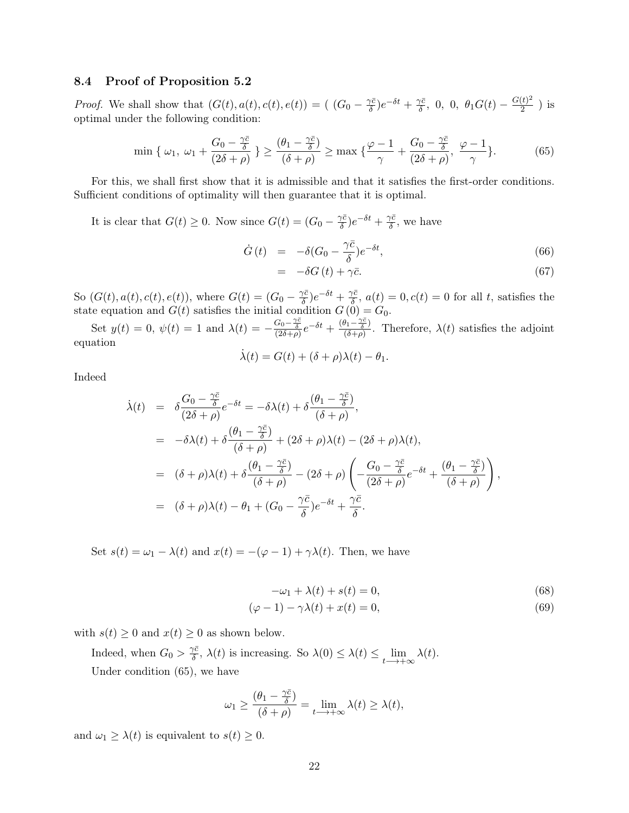#### 8.4 Proof of Proposition [5.2](#page-12-0)

*Proof.* We shall show that  $(G(t), a(t), c(t), e(t)) = (G_0 - \frac{\gamma \bar{c}}{\delta})$  $\frac{\gamma \bar{c}}{\delta}$ ) $e^{-\delta t} + \frac{\gamma \bar{c}}{\delta}$  $\frac{\partial \bar{c}}{\partial \delta}, \, 0, \, 0, \, \theta_1 G(t) - \frac{G(t)^2}{2}$  $\frac{(t)^{-}}{2}$ ) is optimal under the following condition:

<span id="page-21-0"></span>
$$
\min\left\{\omega_1,\,\omega_1+\frac{G_0-\frac{\gamma\bar{c}}{\delta}}{(2\delta+\rho)}\right\} \ge \frac{(\theta_1-\frac{\gamma\bar{c}}{\delta})}{(\delta+\rho)} \ge \max\left\{\frac{\varphi-1}{\gamma}+\frac{G_0-\frac{\gamma\bar{c}}{\delta}}{(2\delta+\rho)},\,\frac{\varphi-1}{\gamma}\right\}.\tag{65}
$$

For this, we shall first show that it is admissible and that it satisfies the first-order conditions. Sufficient conditions of optimality will then guarantee that it is optimal.

It is clear that  $G(t) \geq 0$ . Now since  $G(t) = (G_0 - \frac{\gamma \bar{c}}{\delta})$  $\frac{\gamma \bar{c}}{\delta}$ ) $e^{-\delta t} + \frac{\gamma \bar{c}}{\delta}$  $\frac{\gamma c}{\delta}$ , we have

$$
\dot{G}(t) = -\delta(G_0 - \frac{\gamma \bar{c}}{\delta})e^{-\delta t}, \qquad (66)
$$

$$
= -\delta G(t) + \gamma \bar{c}.
$$
 (67)

So  $(G(t), a(t), c(t), e(t))$ , where  $G(t) = (G_0 - \frac{\gamma \bar{c}}{\delta})$  $\frac{\gamma \bar{c}}{\delta}$ ) $e^{-\delta t} + \frac{\gamma \bar{c}}{\delta}$  $\delta^{\prime c}_{\delta}$ ,  $a(t) = 0, c(t) = 0$  for all t, satisfies the state equation and  $G(t)$  satisfies the initial condition  $G(0) = G_0$ .

Set  $y(t) = 0$ ,  $\psi(t) = 1$  and  $\lambda(t) = -\frac{G_0 - \frac{\gamma \bar{c}}{\delta}}{(2\delta + \rho)} e^{-\delta t} + \frac{(\theta_1 - \frac{\gamma \bar{c}}{\delta})}{(\delta + \rho)}$  $\frac{\sqrt{1-\frac{1}{\delta}}}{(\delta+\rho)}$ . Therefore,  $\lambda(t)$  satisfies the adjoint equation

$$
\dot{\lambda}(t) = G(t) + (\delta + \rho)\lambda(t) - \theta_1.
$$

Indeed

$$
\dot{\lambda}(t) = \delta \frac{G_0 - \frac{\gamma \bar{c}}{\delta}}{(2\delta + \rho)} e^{-\delta t} = -\delta \lambda(t) + \delta \frac{(\theta_1 - \frac{\gamma \bar{c}}{\delta})}{(\delta + \rho)},
$$
\n
$$
= -\delta \lambda(t) + \delta \frac{(\theta_1 - \frac{\gamma \bar{c}}{\delta})}{(\delta + \rho)} + (2\delta + \rho)\lambda(t) - (2\delta + \rho)\lambda(t),
$$
\n
$$
= (\delta + \rho)\lambda(t) + \delta \frac{(\theta_1 - \frac{\gamma \bar{c}}{\delta})}{(\delta + \rho)} - (2\delta + \rho) \left( -\frac{G_0 - \frac{\gamma \bar{c}}{\delta}}{(2\delta + \rho)} e^{-\delta t} + \frac{(\theta_1 - \frac{\gamma \bar{c}}{\delta})}{(\delta + \rho)} \right),
$$
\n
$$
= (\delta + \rho)\lambda(t) - \theta_1 + (G_0 - \frac{\gamma \bar{c}}{\delta}) e^{-\delta t} + \frac{\gamma \bar{c}}{\delta}.
$$

Set  $s(t) = \omega_1 - \lambda(t)$  and  $x(t) = -(\varphi - 1) + \gamma \lambda(t)$ . Then, we have

$$
-\omega_1 + \lambda(t) + s(t) = 0,\t(68)
$$

$$
(\varphi - 1) - \gamma \lambda(t) + x(t) = 0,\tag{69}
$$

with  $s(t) \geq 0$  and  $x(t) \geq 0$  as shown below.

Indeed, when  $G_0 > \frac{\gamma \bar{c}}{\delta}$  $\sum_{t=0}^{\infty} \lambda(t)$  is increasing. So  $\lambda(0) \leq \lambda(t) \leq \lim_{t \to +\infty} \lambda(t)$ . Under condition [\(65\)](#page-21-0), we have

$$
\omega_1 \ge \frac{(\theta_1 - \frac{\gamma \bar{c}}{\delta})}{(\delta + \rho)} = \lim_{t \to +\infty} \lambda(t) \ge \lambda(t),
$$

and  $\omega_1 \geq \lambda(t)$  is equivalent to  $s(t) \geq 0$ .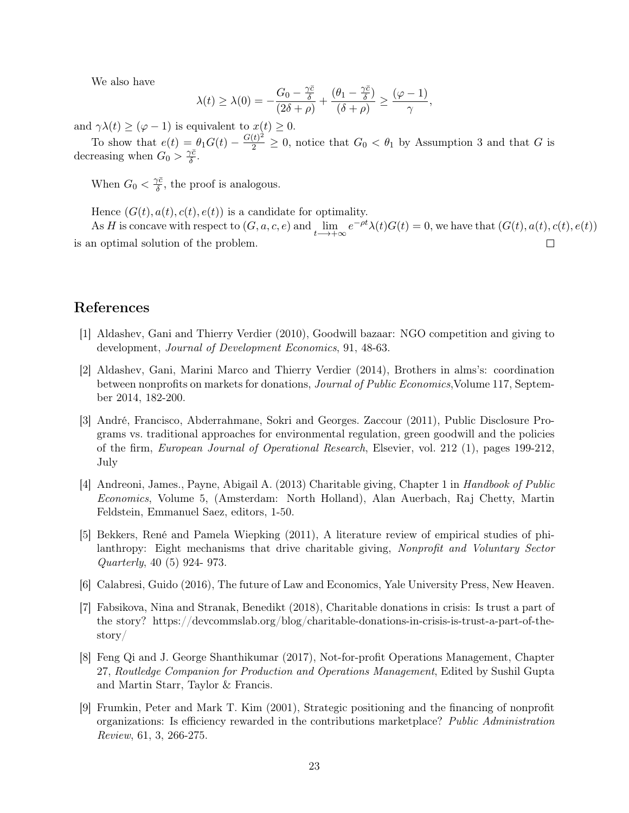We also have

$$
\lambda(t)\geq \lambda(0)=-\frac{G_0-\frac{\gamma \bar{c}}{\delta}}{(2\delta+\rho)}+\frac{(\theta_1-\frac{\gamma \bar{c}}{\delta})}{(\delta+\rho)}\geq \frac{(\varphi-1)}{\gamma},
$$

and  $\gamma \lambda(t) \geq (\varphi - 1)$  is equivalent to  $x(t) \geq 0$ .

To show that  $e(t) = \theta_1 G(t) - \frac{G(t)^2}{2} \geq 0$ , notice that  $G_0 < \theta_1$  by Assumption 3 and that G is decreasing when  $G_0 > \frac{\gamma \bar{c}}{\delta}$  $\frac{\gamma c}{\delta} .$ 

When  $G_0 < \frac{\gamma \bar{c}}{\delta}$  $\frac{\gamma c}{\delta}$ , the proof is analogous.

Hence  $(G(t), a(t), c(t), e(t))$  is a candidate for optimality.

As H is concave with respect to  $(G, a, c, e)$  and  $\lim_{t \to +\infty} e^{-\rho t} \lambda(t) G(t) = 0$ , we have that  $(G(t), a(t), c(t), e(t))$ is an optimal solution of the problem.  $\Box$ 

## References

- [1] Aldashev, Gani and Thierry Verdier (2010), Goodwill bazaar: NGO competition and giving to development, Journal of Development Economics, 91, 48-63.
- [2] Aldashev, Gani, Marini Marco and Thierry Verdier (2014), Brothers in alms's: coordination between nonprofits on markets for donations, Journal of Public Economics,Volume 117, September 2014, 182-200.
- [3] André, Francisco, Abderrahmane, Sokri and Georges. Zaccour (2011), Public Disclosure Programs vs. traditional approaches for environmental regulation, green goodwill and the policies of the firm, European Journal of Operational Research, Elsevier, vol. 212 (1), pages 199-212, July
- [4] Andreoni, James., Payne, Abigail A. (2013) Charitable giving, Chapter 1 in Handbook of Public Economics, Volume 5, (Amsterdam: North Holland), Alan Auerbach, Raj Chetty, Martin Feldstein, Emmanuel Saez, editors, 1-50.
- [5] Bekkers, René and Pamela Wiepking (2011), A literature review of empirical studies of philanthropy: Eight mechanisms that drive charitable giving, Nonprofit and Voluntary Sector Quarterly, 40 (5) 924- 973.
- [6] Calabresi, Guido (2016), The future of Law and Economics, Yale University Press, New Heaven.
- [7] Fabsikova, Nina and Stranak, Benedikt (2018), Charitable donations in crisis: Is trust a part of the story? https://devcommslab.org/blog/charitable-donations-in-crisis-is-trust-a-part-of-thestory/
- [8] Feng Qi and J. George Shanthikumar (2017), Not-for-profit Operations Management, Chapter 27, Routledge Companion for Production and Operations Management, Edited by Sushil Gupta and Martin Starr, Taylor & Francis.
- [9] Frumkin, Peter and Mark T. Kim (2001), Strategic positioning and the financing of nonprofit organizations: Is efficiency rewarded in the contributions marketplace? Public Administration Review, 61, 3, 266-275.